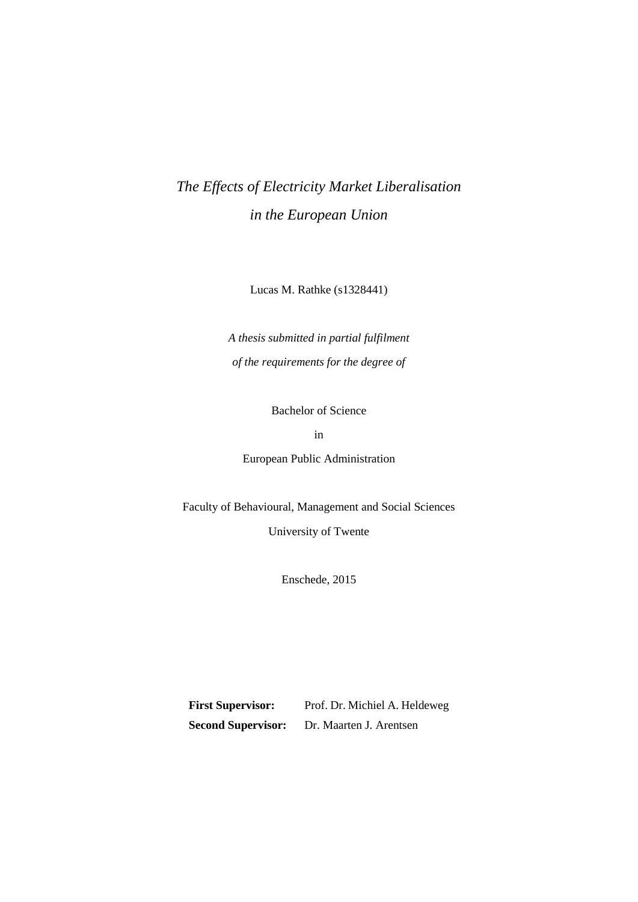# *The Effects of Electricity Market Liberalisation in the European Union*

Lucas M. Rathke (s1328441)

*A thesis submitted in partial fulfilment of the requirements for the degree of* 

Bachelor of Science

in

European Public Administration

Faculty of Behavioural, Management and Social Sciences

University of Twente

Enschede, 2015

**First Supervisor:** Prof. Dr. Michiel A. Heldeweg **Second Supervisor:** Dr. Maarten J. Arentsen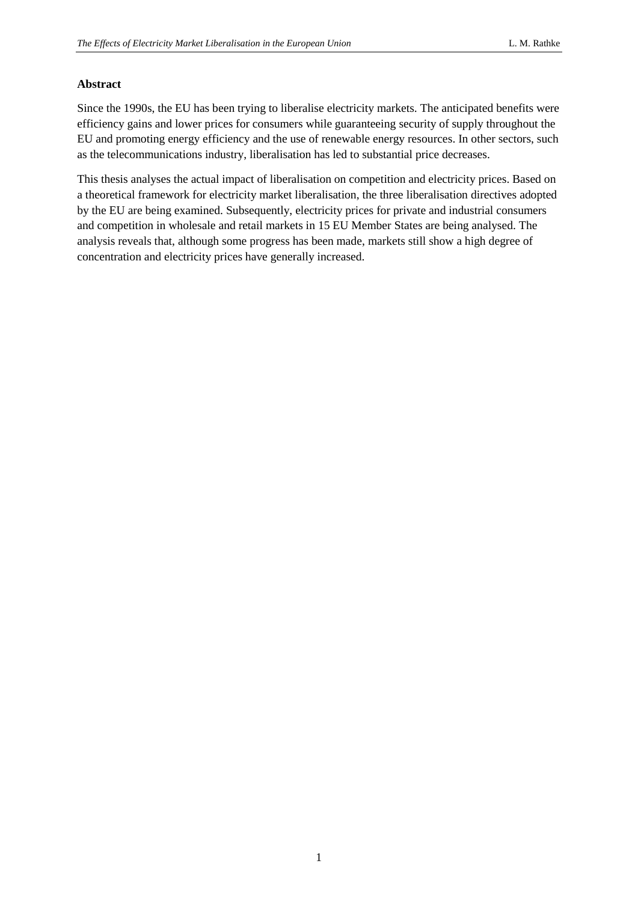#### <span id="page-1-0"></span>**Abstract**

Since the 1990s, the EU has been trying to liberalise electricity markets. The anticipated benefits were efficiency gains and lower prices for consumers while guaranteeing security of supply throughout the EU and promoting energy efficiency and the use of renewable energy resources. In other sectors, such as the telecommunications industry, liberalisation has led to substantial price decreases.

This thesis analyses the actual impact of liberalisation on competition and electricity prices. Based on a theoretical framework for electricity market liberalisation, the three liberalisation directives adopted by the EU are being examined. Subsequently, electricity prices for private and industrial consumers and competition in wholesale and retail markets in 15 EU Member States are being analysed. The analysis reveals that, although some progress has been made, markets still show a high degree of concentration and electricity prices have generally increased.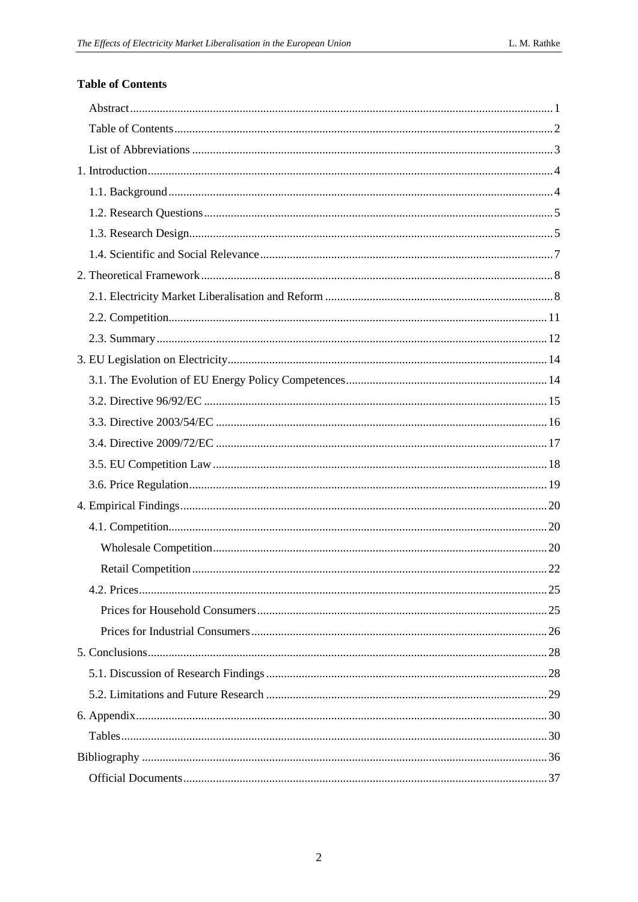## <span id="page-2-0"></span>**Table of Contents**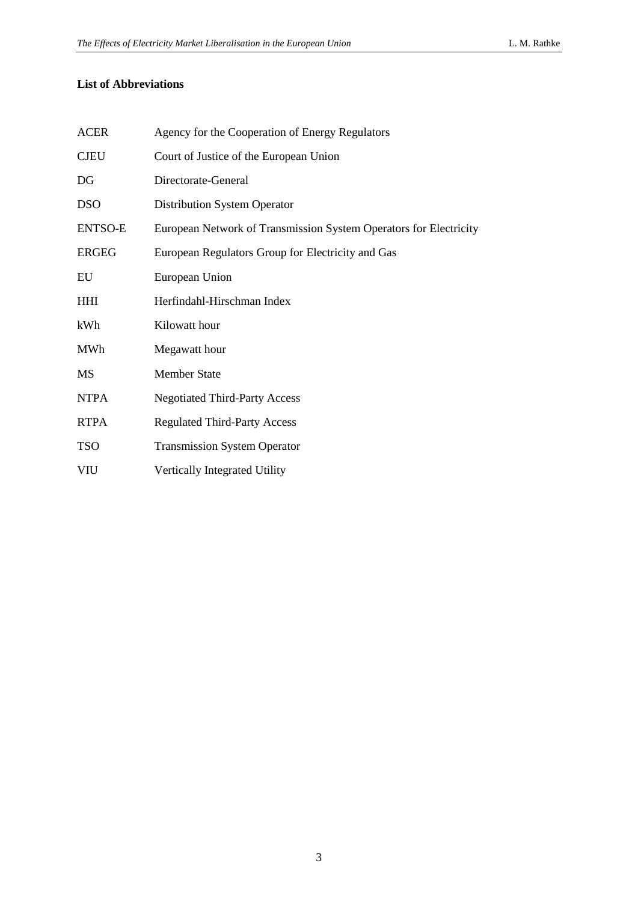## <span id="page-3-0"></span>**List of Abbreviations**

| <b>ACER</b>    | Agency for the Cooperation of Energy Regulators                   |
|----------------|-------------------------------------------------------------------|
| <b>CJEU</b>    | Court of Justice of the European Union                            |
| DG             | Directorate-General                                               |
| <b>DSO</b>     | <b>Distribution System Operator</b>                               |
| <b>ENTSO-E</b> | European Network of Transmission System Operators for Electricity |
| <b>ERGEG</b>   | European Regulators Group for Electricity and Gas                 |
| EU             | European Union                                                    |
| <b>HHI</b>     | Herfindahl-Hirschman Index                                        |
| kWh            | Kilowatt hour                                                     |
| <b>MWh</b>     | Megawatt hour                                                     |
| MS             | <b>Member State</b>                                               |
| <b>NTPA</b>    | <b>Negotiated Third-Party Access</b>                              |
| <b>RTPA</b>    | <b>Regulated Third-Party Access</b>                               |
| <b>TSO</b>     | <b>Transmission System Operator</b>                               |
| VIU            | Vertically Integrated Utility                                     |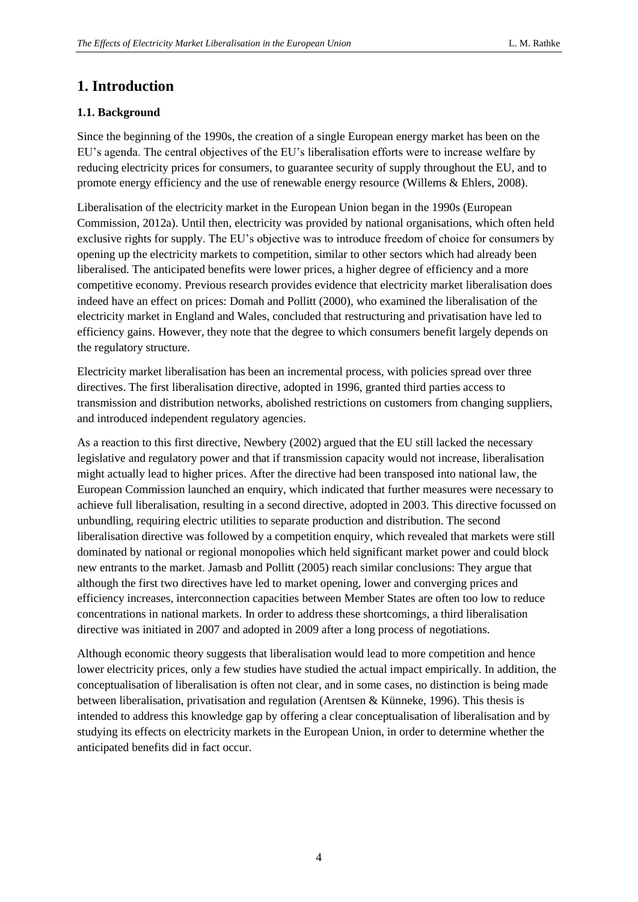## <span id="page-4-0"></span>**1. Introduction**

## <span id="page-4-1"></span>**1.1. Background**

Since the beginning of the 1990s, the creation of a single European energy market has been on the EU's agenda. The central objectives of the EU's liberalisation efforts were to increase welfare by reducing electricity prices for consumers, to guarantee security of supply throughout the EU, and to promote energy efficiency and the use of renewable energy resource (Willems & Ehlers, 2008).

Liberalisation of the electricity market in the European Union began in the 1990s (European Commission, 2012a). Until then, electricity was provided by national organisations, which often held exclusive rights for supply. The EU's objective was to introduce freedom of choice for consumers by opening up the electricity markets to competition, similar to other sectors which had already been liberalised. The anticipated benefits were lower prices, a higher degree of efficiency and a more competitive economy. Previous research provides evidence that electricity market liberalisation does indeed have an effect on prices: Domah and Pollitt (2000), who examined the liberalisation of the electricity market in England and Wales, concluded that restructuring and privatisation have led to efficiency gains. However, they note that the degree to which consumers benefit largely depends on the regulatory structure.

Electricity market liberalisation has been an incremental process, with policies spread over three directives. The first liberalisation directive, adopted in 1996, granted third parties access to transmission and distribution networks, abolished restrictions on customers from changing suppliers, and introduced independent regulatory agencies.

As a reaction to this first directive, Newbery (2002) argued that the EU still lacked the necessary legislative and regulatory power and that if transmission capacity would not increase, liberalisation might actually lead to higher prices. After the directive had been transposed into national law, the European Commission launched an enquiry, which indicated that further measures were necessary to achieve full liberalisation, resulting in a second directive, adopted in 2003. This directive focussed on unbundling, requiring electric utilities to separate production and distribution. The second liberalisation directive was followed by a competition enquiry, which revealed that markets were still dominated by national or regional monopolies which held significant market power and could block new entrants to the market. Jamasb and Pollitt (2005) reach similar conclusions: They argue that although the first two directives have led to market opening, lower and converging prices and efficiency increases, interconnection capacities between Member States are often too low to reduce concentrations in national markets. In order to address these shortcomings, a third liberalisation directive was initiated in 2007 and adopted in 2009 after a long process of negotiations.

Although economic theory suggests that liberalisation would lead to more competition and hence lower electricity prices, only a few studies have studied the actual impact empirically. In addition, the conceptualisation of liberalisation is often not clear, and in some cases, no distinction is being made between liberalisation, privatisation and regulation (Arentsen & Künneke, 1996). This thesis is intended to address this knowledge gap by offering a clear conceptualisation of liberalisation and by studying its effects on electricity markets in the European Union, in order to determine whether the anticipated benefits did in fact occur.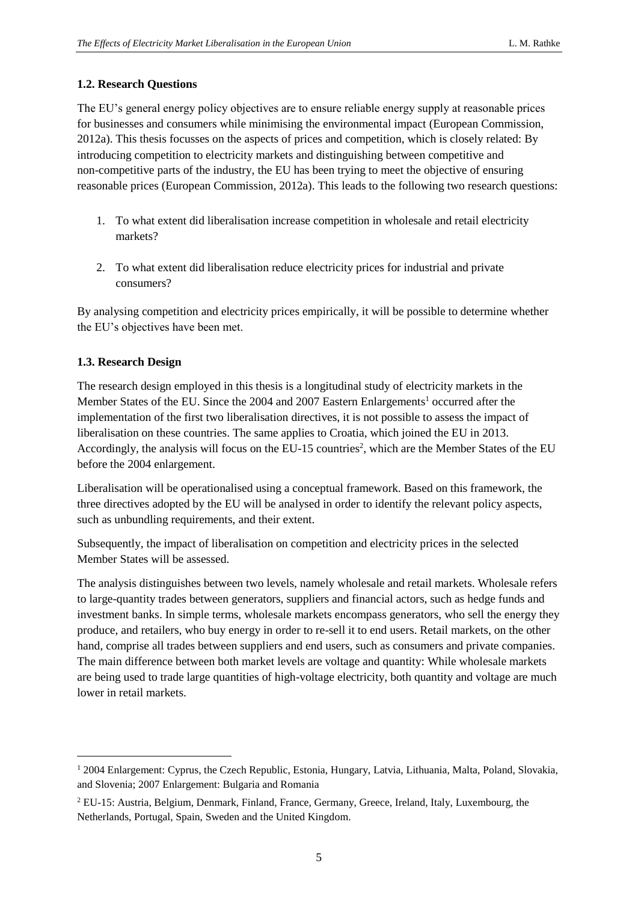### <span id="page-5-0"></span>**1.2. Research Questions**

The EU's general energy policy objectives are to ensure reliable energy supply at reasonable prices for businesses and consumers while minimising the environmental impact (European Commission, 2012a). This thesis focusses on the aspects of prices and competition, which is closely related: By introducing competition to electricity markets and distinguishing between competitive and non-competitive parts of the industry, the EU has been trying to meet the objective of ensuring reasonable prices (European Commission, 2012a). This leads to the following two research questions:

- 1. To what extent did liberalisation increase competition in wholesale and retail electricity markets?
- 2. To what extent did liberalisation reduce electricity prices for industrial and private consumers?

By analysing competition and electricity prices empirically, it will be possible to determine whether the EU's objectives have been met.

### <span id="page-5-1"></span>**1.3. Research Design**

1

The research design employed in this thesis is a longitudinal study of electricity markets in the Member States of the EU. Since the 2004 and 2007 Eastern Enlargements <sup>1</sup> occurred after the implementation of the first two liberalisation directives, it is not possible to assess the impact of liberalisation on these countries. The same applies to Croatia, which joined the EU in 2013. Accordingly, the analysis will focus on the EU-15 countries<sup>2</sup>, which are the Member States of the EU before the 2004 enlargement.

Liberalisation will be operationalised using a conceptual framework. Based on this framework, the three directives adopted by the EU will be analysed in order to identify the relevant policy aspects, such as unbundling requirements, and their extent.

Subsequently, the impact of liberalisation on competition and electricity prices in the selected Member States will be assessed.

The analysis distinguishes between two levels, namely wholesale and retail markets. Wholesale refers to large-quantity trades between generators, suppliers and financial actors, such as hedge funds and investment banks. In simple terms, wholesale markets encompass generators, who sell the energy they produce, and retailers, who buy energy in order to re-sell it to end users. Retail markets, on the other hand, comprise all trades between suppliers and end users, such as consumers and private companies. The main difference between both market levels are voltage and quantity: While wholesale markets are being used to trade large quantities of high-voltage electricity, both quantity and voltage are much lower in retail markets.

<sup>1</sup> 2004 Enlargement: Cyprus, the Czech Republic, Estonia, Hungary, Latvia, Lithuania, Malta, Poland, Slovakia, and Slovenia; 2007 Enlargement: Bulgaria and Romania

<sup>2</sup> EU-15: Austria, Belgium, Denmark, Finland, France, Germany, Greece, Ireland, Italy, Luxembourg, the Netherlands, Portugal, Spain, Sweden and the United Kingdom.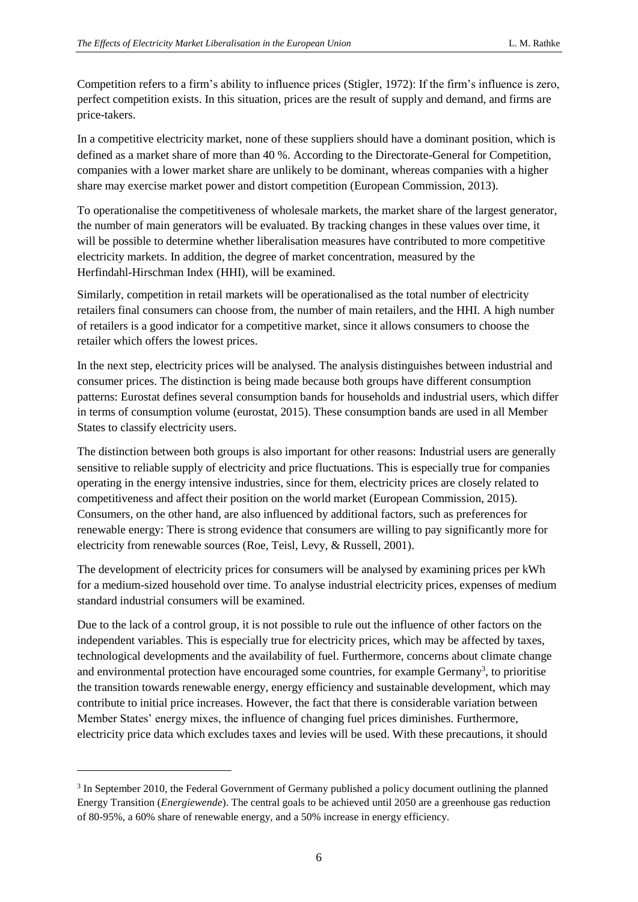Competition refers to a firm's ability to influence prices (Stigler, 1972): If the firm's influence is zero, perfect competition exists. In this situation, prices are the result of supply and demand, and firms are price-takers.

In a competitive electricity market, none of these suppliers should have a dominant position, which is defined as a market share of more than 40 %. According to the Directorate-General for Competition, companies with a lower market share are unlikely to be dominant, whereas companies with a higher share may exercise market power and distort competition (European Commission, 2013).

To operationalise the competitiveness of wholesale markets, the market share of the largest generator, the number of main generators will be evaluated. By tracking changes in these values over time, it will be possible to determine whether liberalisation measures have contributed to more competitive electricity markets. In addition, the degree of market concentration, measured by the Herfindahl-Hirschman Index (HHI), will be examined.

Similarly, competition in retail markets will be operationalised as the total number of electricity retailers final consumers can choose from, the number of main retailers, and the HHI. A high number of retailers is a good indicator for a competitive market, since it allows consumers to choose the retailer which offers the lowest prices.

In the next step, electricity prices will be analysed. The analysis distinguishes between industrial and consumer prices. The distinction is being made because both groups have different consumption patterns: Eurostat defines several consumption bands for households and industrial users, which differ in terms of consumption volume (eurostat, 2015). These consumption bands are used in all Member States to classify electricity users.

The distinction between both groups is also important for other reasons: Industrial users are generally sensitive to reliable supply of electricity and price fluctuations. This is especially true for companies operating in the energy intensive industries, since for them, electricity prices are closely related to competitiveness and affect their position on the world market (European Commission, 2015). Consumers, on the other hand, are also influenced by additional factors, such as preferences for renewable energy: There is strong evidence that consumers are willing to pay significantly more for electricity from renewable sources (Roe, Teisl, Levy, & Russell, 2001).

The development of electricity prices for consumers will be analysed by examining prices per kWh for a medium-sized household over time. To analyse industrial electricity prices, expenses of medium standard industrial consumers will be examined.

Due to the lack of a control group, it is not possible to rule out the influence of other factors on the independent variables. This is especially true for electricity prices, which may be affected by taxes, technological developments and the availability of fuel. Furthermore, concerns about climate change and environmental protection have encouraged some countries, for example Germany<sup>3</sup>, to prioritise the transition towards renewable energy, energy efficiency and sustainable development, which may contribute to initial price increases. However, the fact that there is considerable variation between Member States' energy mixes, the influence of changing fuel prices diminishes. Furthermore, electricity price data which excludes taxes and levies will be used. With these precautions, it should

-

<sup>&</sup>lt;sup>3</sup> In September 2010, the Federal Government of Germany published a policy document outlining the planned Energy Transition (*Energiewende*). The central goals to be achieved until 2050 are a greenhouse gas reduction of 80-95%, a 60% share of renewable energy, and a 50% increase in energy efficiency.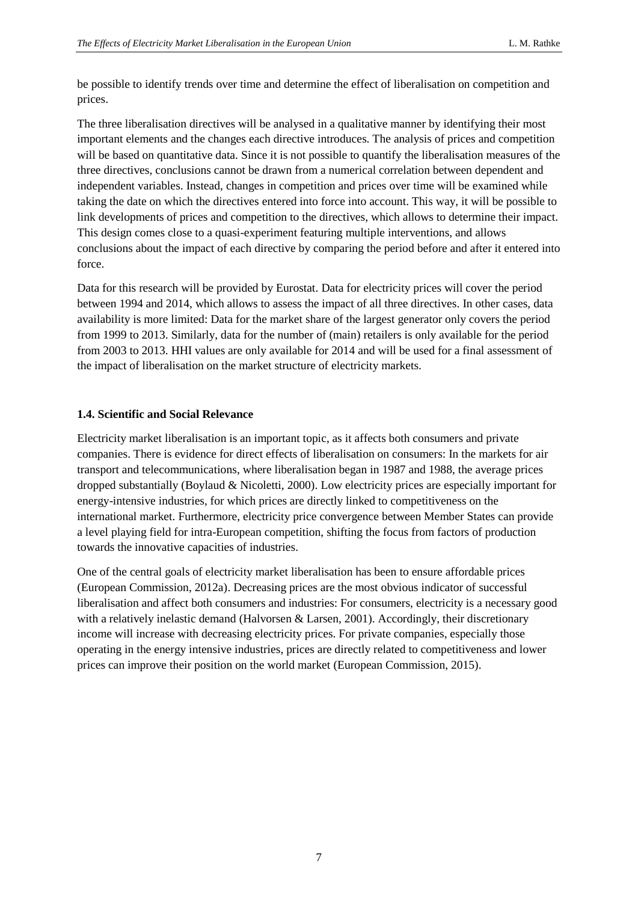be possible to identify trends over time and determine the effect of liberalisation on competition and prices.

The three liberalisation directives will be analysed in a qualitative manner by identifying their most important elements and the changes each directive introduces. The analysis of prices and competition will be based on quantitative data. Since it is not possible to quantify the liberalisation measures of the three directives, conclusions cannot be drawn from a numerical correlation between dependent and independent variables. Instead, changes in competition and prices over time will be examined while taking the date on which the directives entered into force into account. This way, it will be possible to link developments of prices and competition to the directives, which allows to determine their impact. This design comes close to a quasi-experiment featuring multiple interventions, and allows conclusions about the impact of each directive by comparing the period before and after it entered into force.

Data for this research will be provided by Eurostat. Data for electricity prices will cover the period between 1994 and 2014, which allows to assess the impact of all three directives. In other cases, data availability is more limited: Data for the market share of the largest generator only covers the period from 1999 to 2013. Similarly, data for the number of (main) retailers is only available for the period from 2003 to 2013. HHI values are only available for 2014 and will be used for a final assessment of the impact of liberalisation on the market structure of electricity markets.

### <span id="page-7-0"></span>**1.4. Scientific and Social Relevance**

Electricity market liberalisation is an important topic, as it affects both consumers and private companies. There is evidence for direct effects of liberalisation on consumers: In the markets for air transport and telecommunications, where liberalisation began in 1987 and 1988, the average prices dropped substantially (Boylaud & Nicoletti, 2000). Low electricity prices are especially important for energy-intensive industries, for which prices are directly linked to competitiveness on the international market. Furthermore, electricity price convergence between Member States can provide a level playing field for intra-European competition, shifting the focus from factors of production towards the innovative capacities of industries.

One of the central goals of electricity market liberalisation has been to ensure affordable prices (European Commission, 2012a). Decreasing prices are the most obvious indicator of successful liberalisation and affect both consumers and industries: For consumers, electricity is a necessary good with a relatively inelastic demand (Halvorsen & Larsen, 2001). Accordingly, their discretionary income will increase with decreasing electricity prices. For private companies, especially those operating in the energy intensive industries, prices are directly related to competitiveness and lower prices can improve their position on the world market (European Commission, 2015).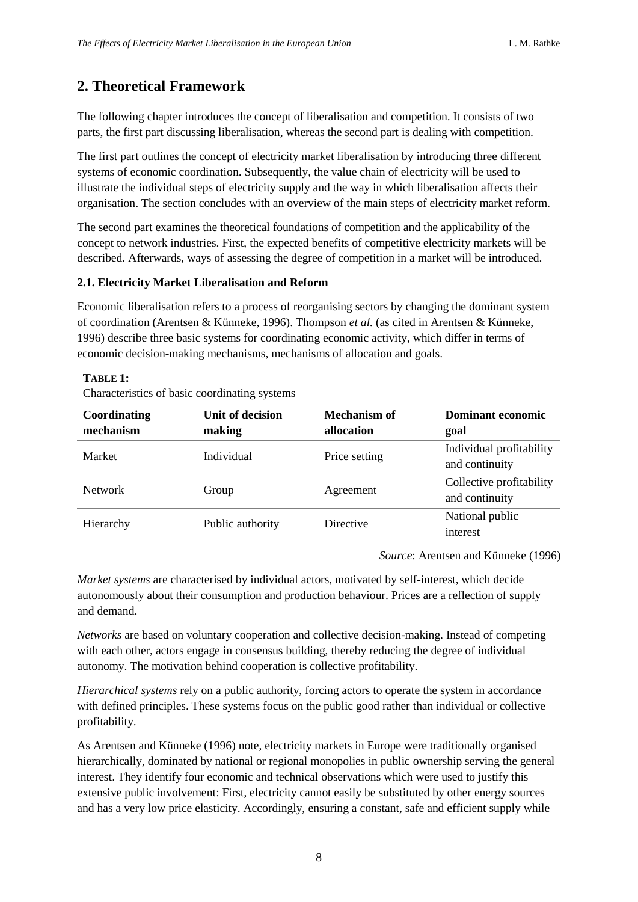## <span id="page-8-0"></span>**2. Theoretical Framework**

The following chapter introduces the concept of liberalisation and competition. It consists of two parts, the first part discussing liberalisation, whereas the second part is dealing with competition.

The first part outlines the concept of electricity market liberalisation by introducing three different systems of economic coordination. Subsequently, the value chain of electricity will be used to illustrate the individual steps of electricity supply and the way in which liberalisation affects their organisation. The section concludes with an overview of the main steps of electricity market reform.

The second part examines the theoretical foundations of competition and the applicability of the concept to network industries. First, the expected benefits of competitive electricity markets will be described. Afterwards, ways of assessing the degree of competition in a market will be introduced.

#### <span id="page-8-1"></span>**2.1. Electricity Market Liberalisation and Reform**

Economic liberalisation refers to a process of reorganising sectors by changing the dominant system of coordination (Arentsen & Künneke, 1996). Thompson *et al.* (as cited in Arentsen & Künneke, 1996) describe three basic systems for coordinating economic activity, which differ in terms of economic decision-making mechanisms, mechanisms of allocation and goals.

#### **TABLE 1:**

Characteristics of basic coordinating systems

| Coordinating   | Unit of decision | Mechanism of     | <b>Dominant economic</b>                   |
|----------------|------------------|------------------|--------------------------------------------|
| mechanism      | making           | allocation       | goal                                       |
| Market         | Individual       | Price setting    | Individual profitability<br>and continuity |
| <b>Network</b> | Group            | Agreement        | Collective profitability<br>and continuity |
| Hierarchy      | Public authority | <b>Directive</b> | National public<br>interest                |

*Source*: Arentsen and Künneke (1996)

*Market systems* are characterised by individual actors, motivated by self-interest, which decide autonomously about their consumption and production behaviour. Prices are a reflection of supply and demand.

*Networks* are based on voluntary cooperation and collective decision-making. Instead of competing with each other, actors engage in consensus building, thereby reducing the degree of individual autonomy. The motivation behind cooperation is collective profitability.

*Hierarchical systems* rely on a public authority, forcing actors to operate the system in accordance with defined principles. These systems focus on the public good rather than individual or collective profitability.

As Arentsen and Künneke (1996) note, electricity markets in Europe were traditionally organised hierarchically, dominated by national or regional monopolies in public ownership serving the general interest. They identify four economic and technical observations which were used to justify this extensive public involvement: First, electricity cannot easily be substituted by other energy sources and has a very low price elasticity. Accordingly, ensuring a constant, safe and efficient supply while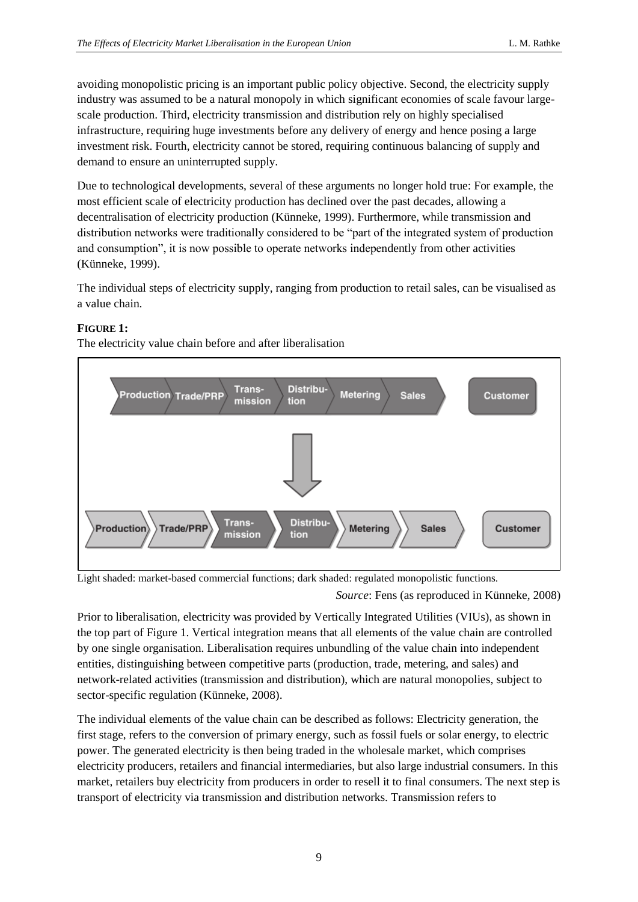avoiding monopolistic pricing is an important public policy objective. Second, the electricity supply industry was assumed to be a natural monopoly in which significant economies of scale favour largescale production. Third, electricity transmission and distribution rely on highly specialised infrastructure, requiring huge investments before any delivery of energy and hence posing a large investment risk. Fourth, electricity cannot be stored, requiring continuous balancing of supply and demand to ensure an uninterrupted supply.

Due to technological developments, several of these arguments no longer hold true: For example, the most efficient scale of electricity production has declined over the past decades, allowing a decentralisation of electricity production (Künneke, 1999). Furthermore, while transmission and distribution networks were traditionally considered to be "part of the integrated system of production and consumption", it is now possible to operate networks independently from other activities (Künneke, 1999).

The individual steps of electricity supply, ranging from production to retail sales, can be visualised as a value chain.

## **FIGURE 1:**

The electricity value chain before and after liberalisation



Light shaded: market-based commercial functions; dark shaded: regulated monopolistic functions.

*Source*: Fens (as reproduced in Künneke, 2008)

Prior to liberalisation, electricity was provided by Vertically Integrated Utilities (VIUs), as shown in the top part of Figure 1. Vertical integration means that all elements of the value chain are controlled by one single organisation. Liberalisation requires unbundling of the value chain into independent entities, distinguishing between competitive parts (production, trade, metering, and sales) and network-related activities (transmission and distribution), which are natural monopolies, subject to sector-specific regulation (Künneke, 2008).

The individual elements of the value chain can be described as follows: Electricity generation, the first stage, refers to the conversion of primary energy, such as fossil fuels or solar energy, to electric power. The generated electricity is then being traded in the wholesale market, which comprises electricity producers, retailers and financial intermediaries, but also large industrial consumers. In this market, retailers buy electricity from producers in order to resell it to final consumers. The next step is transport of electricity via transmission and distribution networks. Transmission refers to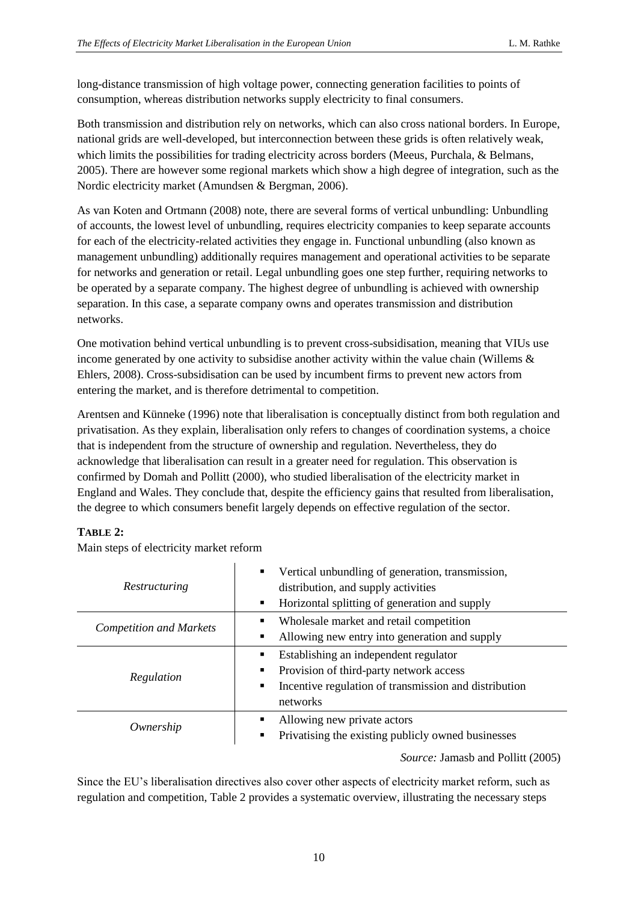long-distance transmission of high voltage power, connecting generation facilities to points of consumption, whereas distribution networks supply electricity to final consumers.

Both transmission and distribution rely on networks, which can also cross national borders. In Europe, national grids are well-developed, but interconnection between these grids is often relatively weak, which limits the possibilities for trading electricity across borders (Meeus, Purchala, & Belmans, 2005). There are however some regional markets which show a high degree of integration, such as the Nordic electricity market (Amundsen & Bergman, 2006).

As van Koten and Ortmann (2008) note, there are several forms of vertical unbundling: Unbundling of accounts, the lowest level of unbundling, requires electricity companies to keep separate accounts for each of the electricity-related activities they engage in. Functional unbundling (also known as management unbundling) additionally requires management and operational activities to be separate for networks and generation or retail. Legal unbundling goes one step further, requiring networks to be operated by a separate company. The highest degree of unbundling is achieved with ownership separation. In this case, a separate company owns and operates transmission and distribution networks.

One motivation behind vertical unbundling is to prevent cross-subsidisation, meaning that VIUs use income generated by one activity to subsidise another activity within the value chain (Willems  $\&$ Ehlers, 2008). Cross-subsidisation can be used by incumbent firms to prevent new actors from entering the market, and is therefore detrimental to competition.

Arentsen and Künneke (1996) note that liberalisation is conceptually distinct from both regulation and privatisation. As they explain, liberalisation only refers to changes of coordination systems, a choice that is independent from the structure of ownership and regulation. Nevertheless, they do acknowledge that liberalisation can result in a greater need for regulation. This observation is confirmed by Domah and Pollitt (2000), who studied liberalisation of the electricity market in England and Wales. They conclude that, despite the efficiency gains that resulted from liberalisation, the degree to which consumers benefit largely depends on effective regulation of the sector.

### **TABLE 2:**

Main steps of electricity market reform

| Restructuring                  | Vertical unbundling of generation, transmission,<br>$\blacksquare$<br>distribution, and supply activities<br>Horizontal splitting of generation and supply<br>$\blacksquare$ |
|--------------------------------|------------------------------------------------------------------------------------------------------------------------------------------------------------------------------|
| <b>Competition and Markets</b> | Wholesale market and retail competition<br>٠<br>Allowing new entry into generation and supply<br>٠                                                                           |
| Regulation                     | Establishing an independent regulator<br>٠<br>Provision of third-party network access<br>٠<br>Incentive regulation of transmission and distribution<br>٠<br>networks         |
| Ownership                      | Allowing new private actors<br>٠<br>Privatising the existing publicly owned businesses<br>$\blacksquare$                                                                     |
|                                | $\mathbf{I} = \mathbf{I} - \mathbf{I} \mathbf{D} \mathbf{I} + \mathbf{I} \mathbf{A} \mathbf{A} \mathbf{A}$                                                                   |

*Source:* Jamasb and Pollitt (2005)

Since the EU's liberalisation directives also cover other aspects of electricity market reform, such as regulation and competition, Table 2 provides a systematic overview, illustrating the necessary steps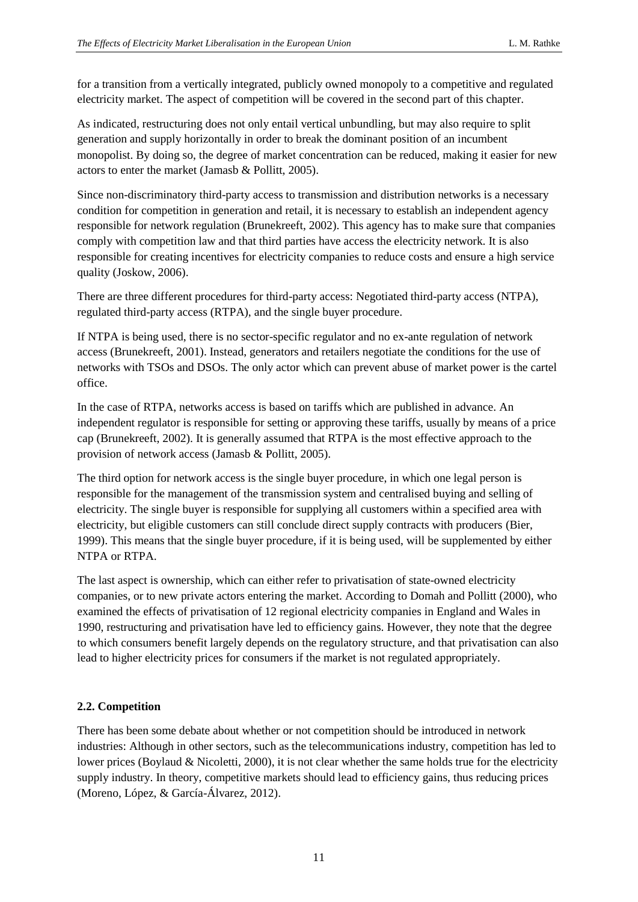for a transition from a vertically integrated, publicly owned monopoly to a competitive and regulated electricity market. The aspect of competition will be covered in the second part of this chapter.

As indicated, restructuring does not only entail vertical unbundling, but may also require to split generation and supply horizontally in order to break the dominant position of an incumbent monopolist. By doing so, the degree of market concentration can be reduced, making it easier for new actors to enter the market (Jamasb & Pollitt, 2005).

Since non-discriminatory third-party access to transmission and distribution networks is a necessary condition for competition in generation and retail, it is necessary to establish an independent agency responsible for network regulation (Brunekreeft, 2002). This agency has to make sure that companies comply with competition law and that third parties have access the electricity network. It is also responsible for creating incentives for electricity companies to reduce costs and ensure a high service quality (Joskow, 2006).

There are three different procedures for third-party access: Negotiated third-party access (NTPA), regulated third-party access (RTPA), and the single buyer procedure.

If NTPA is being used, there is no sector-specific regulator and no ex-ante regulation of network access (Brunekreeft, 2001). Instead, generators and retailers negotiate the conditions for the use of networks with TSOs and DSOs. The only actor which can prevent abuse of market power is the cartel office.

In the case of RTPA, networks access is based on tariffs which are published in advance. An independent regulator is responsible for setting or approving these tariffs, usually by means of a price cap (Brunekreeft, 2002). It is generally assumed that RTPA is the most effective approach to the provision of network access (Jamasb & Pollitt, 2005).

The third option for network access is the single buyer procedure, in which one legal person is responsible for the management of the transmission system and centralised buying and selling of electricity. The single buyer is responsible for supplying all customers within a specified area with electricity, but eligible customers can still conclude direct supply contracts with producers (Bier, 1999). This means that the single buyer procedure, if it is being used, will be supplemented by either NTPA or RTPA.

The last aspect is ownership, which can either refer to privatisation of state-owned electricity companies, or to new private actors entering the market. According to Domah and Pollitt (2000), who examined the effects of privatisation of 12 regional electricity companies in England and Wales in 1990, restructuring and privatisation have led to efficiency gains. However, they note that the degree to which consumers benefit largely depends on the regulatory structure, and that privatisation can also lead to higher electricity prices for consumers if the market is not regulated appropriately.

### <span id="page-11-0"></span>**2.2. Competition**

There has been some debate about whether or not competition should be introduced in network industries: Although in other sectors, such as the telecommunications industry, competition has led to lower prices (Boylaud & Nicoletti, 2000), it is not clear whether the same holds true for the electricity supply industry. In theory, competitive markets should lead to efficiency gains, thus reducing prices (Moreno, López, & García-Álvarez, 2012).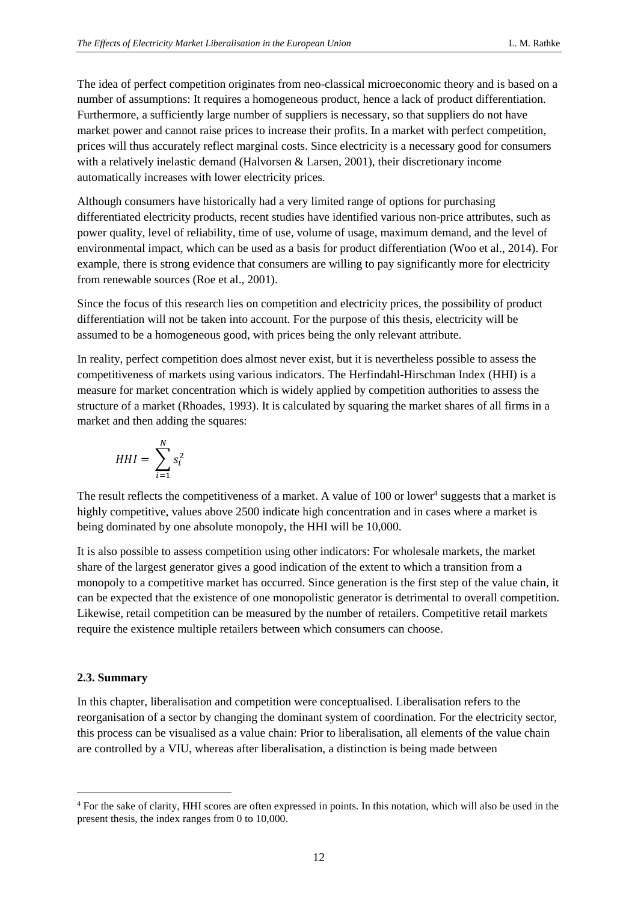The idea of perfect competition originates from neo-classical microeconomic theory and is based on a number of assumptions: It requires a homogeneous product, hence a lack of product differentiation. Furthermore, a sufficiently large number of suppliers is necessary, so that suppliers do not have market power and cannot raise prices to increase their profits. In a market with perfect competition, prices will thus accurately reflect marginal costs. Since electricity is a necessary good for consumers with a relatively inelastic demand (Halvorsen & Larsen, 2001), their discretionary income automatically increases with lower electricity prices.

Although consumers have historically had a very limited range of options for purchasing differentiated electricity products, recent studies have identified various non-price attributes, such as power quality, level of reliability, time of use, volume of usage, maximum demand, and the level of environmental impact, which can be used as a basis for product differentiation (Woo et al., 2014). For example, there is strong evidence that consumers are willing to pay significantly more for electricity from renewable sources (Roe et al., 2001).

Since the focus of this research lies on competition and electricity prices, the possibility of product differentiation will not be taken into account. For the purpose of this thesis, electricity will be assumed to be a homogeneous good, with prices being the only relevant attribute.

In reality, perfect competition does almost never exist, but it is nevertheless possible to assess the competitiveness of markets using various indicators. The Herfindahl-Hirschman Index (HHI) is a measure for market concentration which is widely applied by competition authorities to assess the structure of a market (Rhoades, 1993). It is calculated by squaring the market shares of all firms in a market and then adding the squares:

$$
HHI = \sum_{i=1}^{N} s_i^2
$$

The result reflects the competitiveness of a market. A value of  $100$  or lower<sup>4</sup> suggests that a market is highly competitive, values above 2500 indicate high concentration and in cases where a market is being dominated by one absolute monopoly, the HHI will be 10,000.

It is also possible to assess competition using other indicators: For wholesale markets, the market share of the largest generator gives a good indication of the extent to which a transition from a monopoly to a competitive market has occurred. Since generation is the first step of the value chain, it can be expected that the existence of one monopolistic generator is detrimental to overall competition. Likewise, retail competition can be measured by the number of retailers. Competitive retail markets require the existence multiple retailers between which consumers can choose.

### <span id="page-12-0"></span>**2.3. Summary**

-

In this chapter, liberalisation and competition were conceptualised. Liberalisation refers to the reorganisation of a sector by changing the dominant system of coordination. For the electricity sector, this process can be visualised as a value chain: Prior to liberalisation, all elements of the value chain are controlled by a VIU, whereas after liberalisation, a distinction is being made between

<sup>4</sup> For the sake of clarity, HHI scores are often expressed in points. In this notation, which will also be used in the present thesis, the index ranges from 0 to 10,000.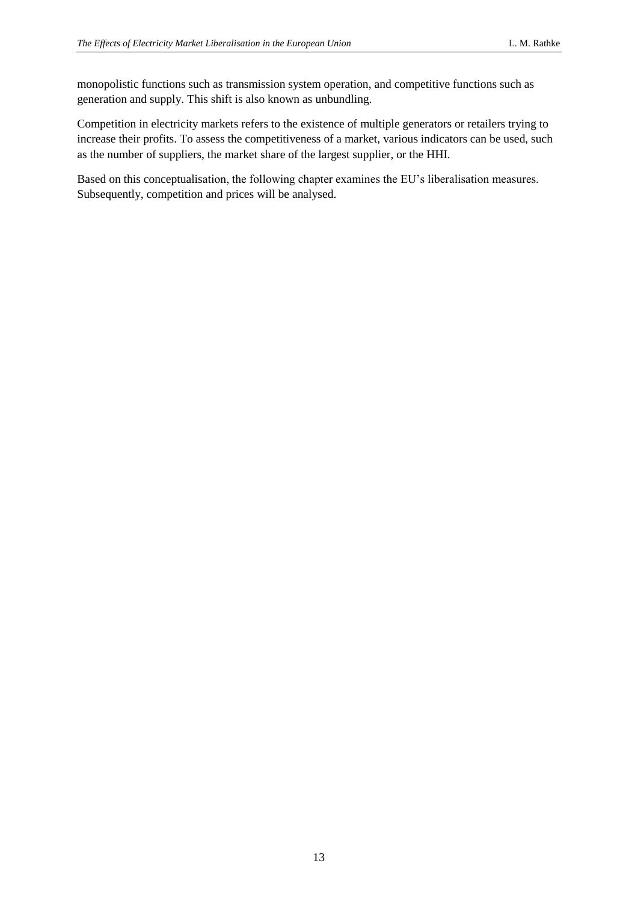monopolistic functions such as transmission system operation, and competitive functions such as generation and supply. This shift is also known as unbundling.

Competition in electricity markets refers to the existence of multiple generators or retailers trying to increase their profits. To assess the competitiveness of a market, various indicators can be used, such as the number of suppliers, the market share of the largest supplier, or the HHI.

Based on this conceptualisation, the following chapter examines the EU's liberalisation measures. Subsequently, competition and prices will be analysed.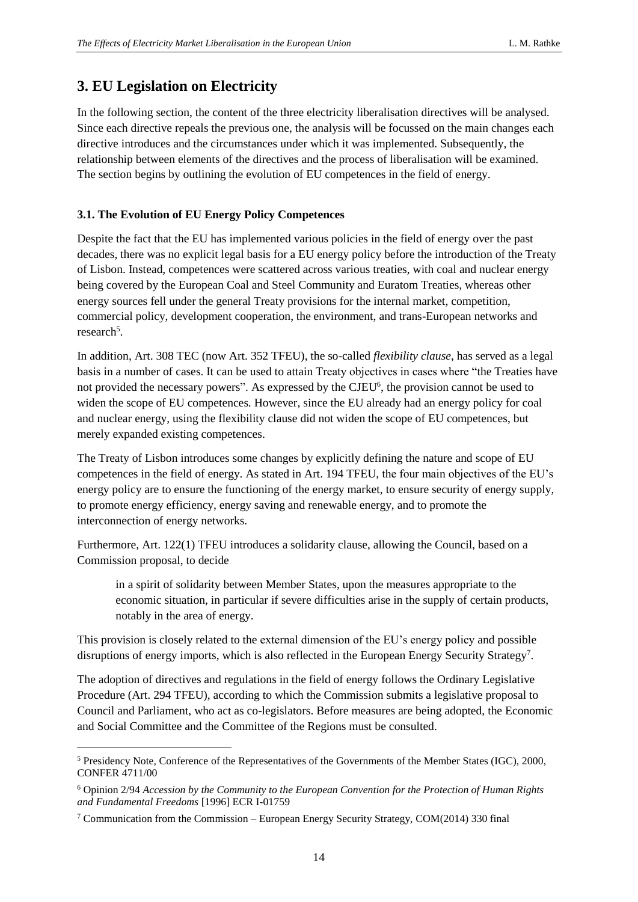## <span id="page-14-0"></span>**3. EU Legislation on Electricity**

In the following section, the content of the three electricity liberalisation directives will be analysed. Since each directive repeals the previous one, the analysis will be focussed on the main changes each directive introduces and the circumstances under which it was implemented. Subsequently, the relationship between elements of the directives and the process of liberalisation will be examined. The section begins by outlining the evolution of EU competences in the field of energy.

## <span id="page-14-1"></span>**3.1. The Evolution of EU Energy Policy Competences**

Despite the fact that the EU has implemented various policies in the field of energy over the past decades, there was no explicit legal basis for a EU energy policy before the introduction of the Treaty of Lisbon. Instead, competences were scattered across various treaties, with coal and nuclear energy being covered by the European Coal and Steel Community and Euratom Treaties, whereas other energy sources fell under the general Treaty provisions for the internal market, competition, commercial policy, development cooperation, the environment, and trans-European networks and research<sup>5</sup>.

In addition, Art. 308 TEC (now Art. 352 TFEU), the so-called *flexibility clause*, has served as a legal basis in a number of cases. It can be used to attain Treaty objectives in cases where "the Treaties have not provided the necessary powers". As expressed by the CJEU<sup>6</sup>, the provision cannot be used to widen the scope of EU competences. However, since the EU already had an energy policy for coal and nuclear energy, using the flexibility clause did not widen the scope of EU competences, but merely expanded existing competences.

The Treaty of Lisbon introduces some changes by explicitly defining the nature and scope of EU competences in the field of energy. As stated in Art. 194 TFEU, the four main objectives of the EU's energy policy are to ensure the functioning of the energy market, to ensure security of energy supply, to promote energy efficiency, energy saving and renewable energy, and to promote the interconnection of energy networks.

Furthermore, Art. 122(1) TFEU introduces a solidarity clause, allowing the Council, based on a Commission proposal, to decide

in a spirit of solidarity between Member States, upon the measures appropriate to the economic situation, in particular if severe difficulties arise in the supply of certain products, notably in the area of energy.

This provision is closely related to the external dimension of the EU's energy policy and possible disruptions of energy imports, which is also reflected in the European Energy Security Strategy<sup>7</sup>.

The adoption of directives and regulations in the field of energy follows the Ordinary Legislative Procedure (Art. 294 TFEU), according to which the Commission submits a legislative proposal to Council and Parliament, who act as co-legislators. Before measures are being adopted, the Economic and Social Committee and the Committee of the Regions must be consulted.

-

<sup>5</sup> Presidency Note, Conference of the Representatives of the Governments of the Member States (IGC), 2000, CONFER 4711/00

<sup>6</sup> Opinion 2/94 *Accession by the Community to the European Convention for the Protection of Human Rights and Fundamental Freedoms* [1996] ECR I-01759

<sup>&</sup>lt;sup>7</sup> Communication from the Commission – European Energy Security Strategy, COM(2014) 330 final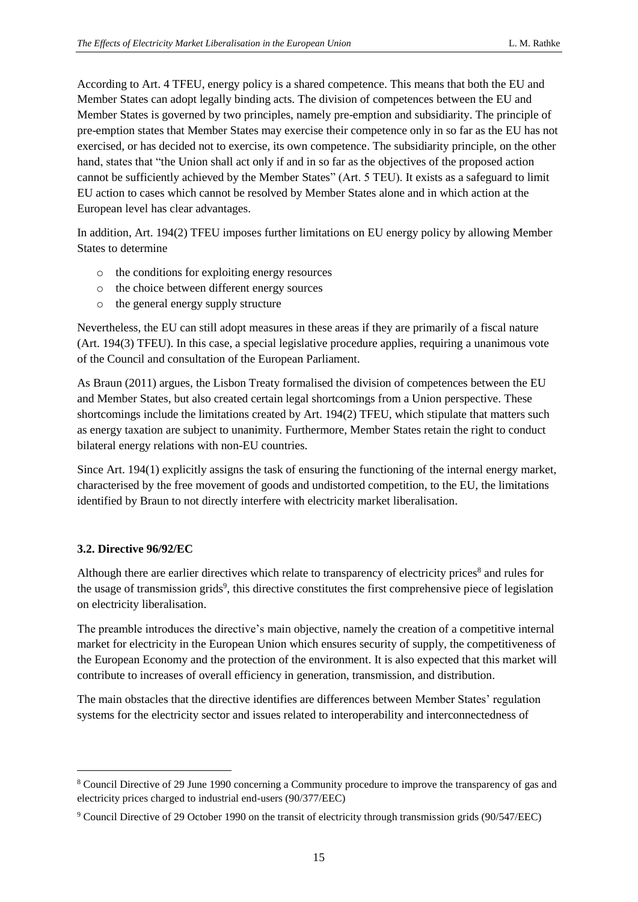According to Art. 4 TFEU, energy policy is a shared competence. This means that both the EU and Member States can adopt legally binding acts. The division of competences between the EU and Member States is governed by two principles, namely pre-emption and subsidiarity. The principle of pre-emption states that Member States may exercise their competence only in so far as the EU has not exercised, or has decided not to exercise, its own competence. The subsidiarity principle, on the other hand, states that "the Union shall act only if and in so far as the objectives of the proposed action cannot be sufficiently achieved by the Member States" (Art. 5 TEU). It exists as a safeguard to limit EU action to cases which cannot be resolved by Member States alone and in which action at the European level has clear advantages.

In addition, Art. 194(2) TFEU imposes further limitations on EU energy policy by allowing Member States to determine

- o the conditions for exploiting energy resources
- o the choice between different energy sources
- o the general energy supply structure

Nevertheless, the EU can still adopt measures in these areas if they are primarily of a fiscal nature (Art. 194(3) TFEU). In this case, a special legislative procedure applies, requiring a unanimous vote of the Council and consultation of the European Parliament.

As Braun (2011) argues, the Lisbon Treaty formalised the division of competences between the EU and Member States, but also created certain legal shortcomings from a Union perspective. These shortcomings include the limitations created by Art. 194(2) TFEU, which stipulate that matters such as energy taxation are subject to unanimity. Furthermore, Member States retain the right to conduct bilateral energy relations with non-EU countries.

Since Art. 194(1) explicitly assigns the task of ensuring the functioning of the internal energy market, characterised by the free movement of goods and undistorted competition, to the EU, the limitations identified by Braun to not directly interfere with electricity market liberalisation.

### <span id="page-15-0"></span>**3.2. Directive 96/92/EC**

-

Although there are earlier directives which relate to transparency of electricity prices<sup>8</sup> and rules for the usage of transmission grids<sup>9</sup>, this directive constitutes the first comprehensive piece of legislation on electricity liberalisation.

The preamble introduces the directive's main objective, namely the creation of a competitive internal market for electricity in the European Union which ensures security of supply, the competitiveness of the European Economy and the protection of the environment. It is also expected that this market will contribute to increases of overall efficiency in generation, transmission, and distribution.

The main obstacles that the directive identifies are differences between Member States' regulation systems for the electricity sector and issues related to interoperability and interconnectedness of

<sup>8</sup> Council Directive of 29 June 1990 concerning a Community procedure to improve the transparency of gas and electricity prices charged to industrial end-users (90/377/EEC)

<sup>9</sup> Council Directive of 29 October 1990 on the transit of electricity through transmission grids (90/547/EEC)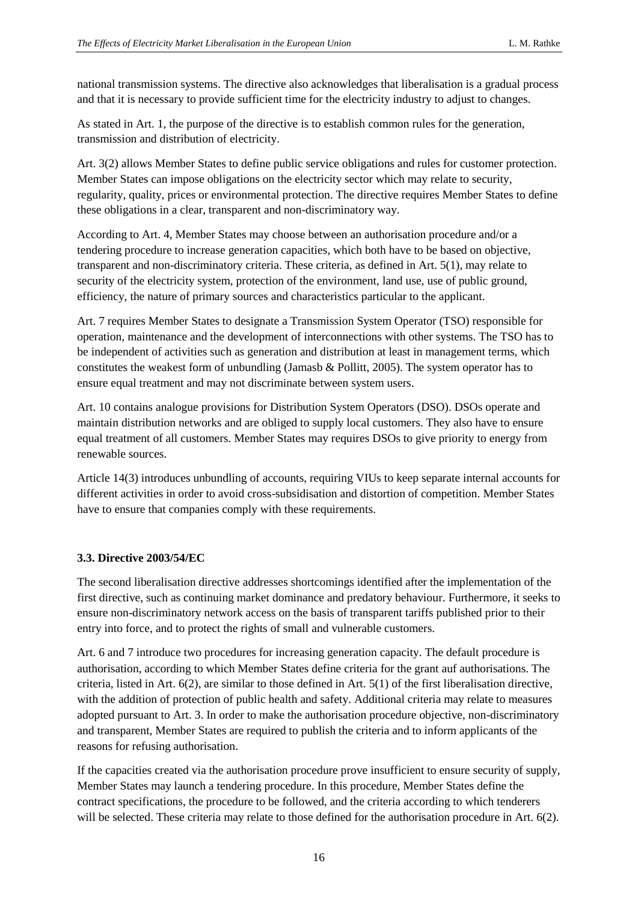national transmission systems. The directive also acknowledges that liberalisation is a gradual process and that it is necessary to provide sufficient time for the electricity industry to adjust to changes.

As stated in Art. 1, the purpose of the directive is to establish common rules for the generation, transmission and distribution of electricity.

Art. 3(2) allows Member States to define public service obligations and rules for customer protection. Member States can impose obligations on the electricity sector which may relate to security, regularity, quality, prices or environmental protection. The directive requires Member States to define these obligations in a clear, transparent and non-discriminatory way.

According to Art. 4, Member States may choose between an authorisation procedure and/or a tendering procedure to increase generation capacities, which both have to be based on objective, transparent and non-discriminatory criteria. These criteria, as defined in Art. 5(1), may relate to security of the electricity system, protection of the environment, land use, use of public ground, efficiency, the nature of primary sources and characteristics particular to the applicant.

Art. 7 requires Member States to designate a Transmission System Operator (TSO) responsible for operation, maintenance and the development of interconnections with other systems. The TSO has to be independent of activities such as generation and distribution at least in management terms, which constitutes the weakest form of unbundling (Jamasb & Pollitt, 2005). The system operator has to ensure equal treatment and may not discriminate between system users.

Art. 10 contains analogue provisions for Distribution System Operators (DSO). DSOs operate and maintain distribution networks and are obliged to supply local customers. They also have to ensure equal treatment of all customers. Member States may requires DSOs to give priority to energy from renewable sources.

Article 14(3) introduces unbundling of accounts, requiring VIUs to keep separate internal accounts for different activities in order to avoid cross-subsidisation and distortion of competition. Member States have to ensure that companies comply with these requirements.

### <span id="page-16-0"></span>**3.3. Directive 2003/54/EC**

The second liberalisation directive addresses shortcomings identified after the implementation of the first directive, such as continuing market dominance and predatory behaviour. Furthermore, it seeks to ensure non-discriminatory network access on the basis of transparent tariffs published prior to their entry into force, and to protect the rights of small and vulnerable customers.

Art. 6 and 7 introduce two procedures for increasing generation capacity. The default procedure is authorisation, according to which Member States define criteria for the grant auf authorisations. The criteria, listed in Art. 6(2), are similar to those defined in Art. 5(1) of the first liberalisation directive, with the addition of protection of public health and safety. Additional criteria may relate to measures adopted pursuant to Art. 3. In order to make the authorisation procedure objective, non-discriminatory and transparent, Member States are required to publish the criteria and to inform applicants of the reasons for refusing authorisation.

If the capacities created via the authorisation procedure prove insufficient to ensure security of supply, Member States may launch a tendering procedure. In this procedure, Member States define the contract specifications, the procedure to be followed, and the criteria according to which tenderers will be selected. These criteria may relate to those defined for the authorisation procedure in Art. 6(2).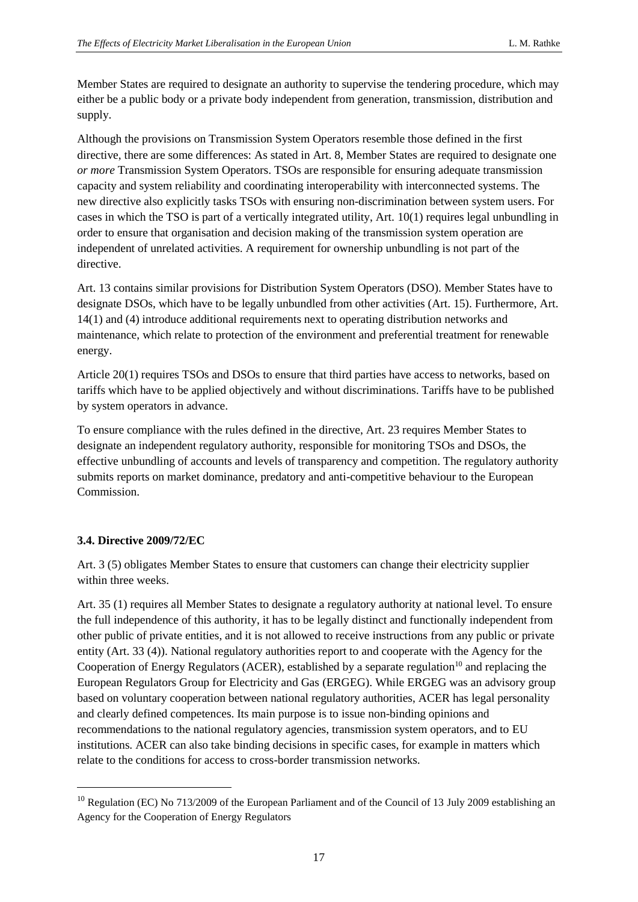Member States are required to designate an authority to supervise the tendering procedure, which may either be a public body or a private body independent from generation, transmission, distribution and supply.

Although the provisions on Transmission System Operators resemble those defined in the first directive, there are some differences: As stated in Art. 8, Member States are required to designate one *or more* Transmission System Operators. TSOs are responsible for ensuring adequate transmission capacity and system reliability and coordinating interoperability with interconnected systems. The new directive also explicitly tasks TSOs with ensuring non-discrimination between system users. For cases in which the TSO is part of a vertically integrated utility, Art. 10(1) requires legal unbundling in order to ensure that organisation and decision making of the transmission system operation are independent of unrelated activities. A requirement for ownership unbundling is not part of the directive.

Art. 13 contains similar provisions for Distribution System Operators (DSO). Member States have to designate DSOs, which have to be legally unbundled from other activities (Art. 15). Furthermore, Art. 14(1) and (4) introduce additional requirements next to operating distribution networks and maintenance, which relate to protection of the environment and preferential treatment for renewable energy.

Article 20(1) requires TSOs and DSOs to ensure that third parties have access to networks, based on tariffs which have to be applied objectively and without discriminations. Tariffs have to be published by system operators in advance.

To ensure compliance with the rules defined in the directive, Art. 23 requires Member States to designate an independent regulatory authority, responsible for monitoring TSOs and DSOs, the effective unbundling of accounts and levels of transparency and competition. The regulatory authority submits reports on market dominance, predatory and anti-competitive behaviour to the European Commission.

### <span id="page-17-0"></span>**3.4. Directive 2009/72/EC**

1

Art. 3 (5) obligates Member States to ensure that customers can change their electricity supplier within three weeks.

Art. 35 (1) requires all Member States to designate a regulatory authority at national level. To ensure the full independence of this authority, it has to be legally distinct and functionally independent from other public of private entities, and it is not allowed to receive instructions from any public or private entity (Art. 33 (4)). National regulatory authorities report to and cooperate with the Agency for the Cooperation of Energy Regulators (ACER), established by a separate regulation<sup>10</sup> and replacing the European Regulators Group for Electricity and Gas (ERGEG). While ERGEG was an advisory group based on voluntary cooperation between national regulatory authorities, ACER has legal personality and clearly defined competences. Its main purpose is to issue non-binding opinions and recommendations to the national regulatory agencies, transmission system operators, and to EU institutions. ACER can also take binding decisions in specific cases, for example in matters which relate to the conditions for access to cross-border transmission networks.

<sup>&</sup>lt;sup>10</sup> Regulation (EC) No 713/2009 of the European Parliament and of the Council of 13 July 2009 establishing an Agency for the Cooperation of Energy Regulators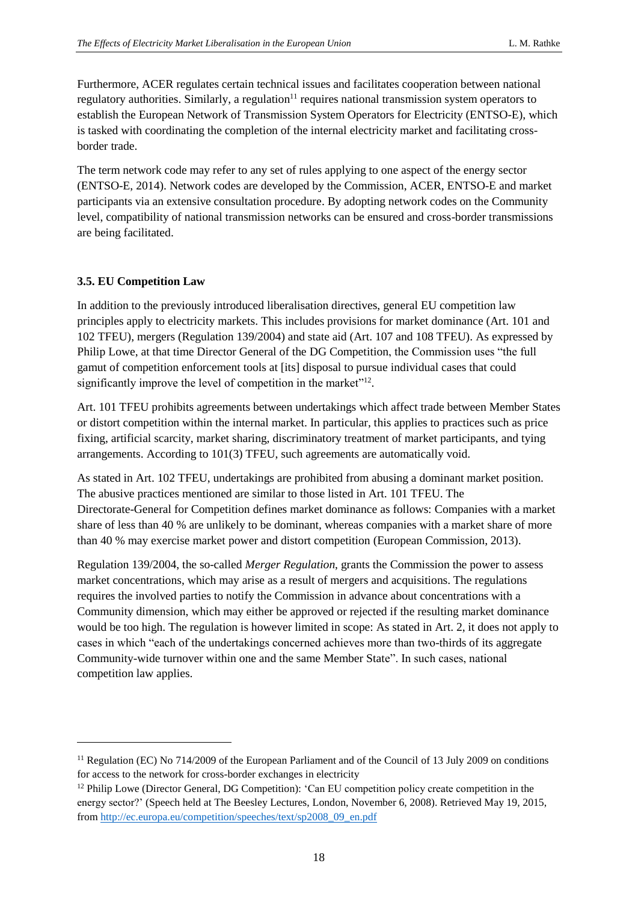Furthermore, ACER regulates certain technical issues and facilitates cooperation between national regulatory authorities. Similarly, a regulation<sup>11</sup> requires national transmission system operators to establish the European Network of Transmission System Operators for Electricity (ENTSO-E), which is tasked with coordinating the completion of the internal electricity market and facilitating crossborder trade.

The term network code may refer to any set of rules applying to one aspect of the energy sector (ENTSO-E, 2014). Network codes are developed by the Commission, ACER, ENTSO-E and market participants via an extensive consultation procedure. By adopting network codes on the Community level, compatibility of national transmission networks can be ensured and cross-border transmissions are being facilitated.

#### <span id="page-18-0"></span>**3.5. EU Competition Law**

1

In addition to the previously introduced liberalisation directives, general EU competition law principles apply to electricity markets. This includes provisions for market dominance (Art. 101 and 102 TFEU), mergers (Regulation 139/2004) and state aid (Art. 107 and 108 TFEU). As expressed by Philip Lowe, at that time Director General of the DG Competition, the Commission uses "the full gamut of competition enforcement tools at [its] disposal to pursue individual cases that could significantly improve the level of competition in the market"<sup>12</sup>.

Art. 101 TFEU prohibits agreements between undertakings which affect trade between Member States or distort competition within the internal market. In particular, this applies to practices such as price fixing, artificial scarcity, market sharing, discriminatory treatment of market participants, and tying arrangements. According to 101(3) TFEU, such agreements are automatically void.

As stated in Art. 102 TFEU, undertakings are prohibited from abusing a dominant market position. The abusive practices mentioned are similar to those listed in Art. 101 TFEU. The Directorate-General for Competition defines market dominance as follows: Companies with a market share of less than 40 % are unlikely to be dominant, whereas companies with a market share of more than 40 % may exercise market power and distort competition (European Commission, 2013).

Regulation 139/2004, the so-called *Merger Regulation*, grants the Commission the power to assess market concentrations, which may arise as a result of mergers and acquisitions. The regulations requires the involved parties to notify the Commission in advance about concentrations with a Community dimension, which may either be approved or rejected if the resulting market dominance would be too high. The regulation is however limited in scope: As stated in Art. 2, it does not apply to cases in which "each of the undertakings concerned achieves more than two-thirds of its aggregate Community-wide turnover within one and the same Member State". In such cases, national competition law applies.

<sup>&</sup>lt;sup>11</sup> Regulation (EC) No 714/2009 of the European Parliament and of the Council of 13 July 2009 on conditions for access to the network for cross-border exchanges in electricity

<sup>&</sup>lt;sup>12</sup> Philip Lowe (Director General, DG Competition): 'Can EU competition policy create competition in the energy sector?' (Speech held at The Beesley Lectures, London, November 6, 2008). Retrieved May 19, 2015, from [http://ec.europa.eu/competition/speeches/text/sp2008\\_09\\_en.pdf](http://ec.europa.eu/competition/speeches/text/sp2008_09_en.pdf)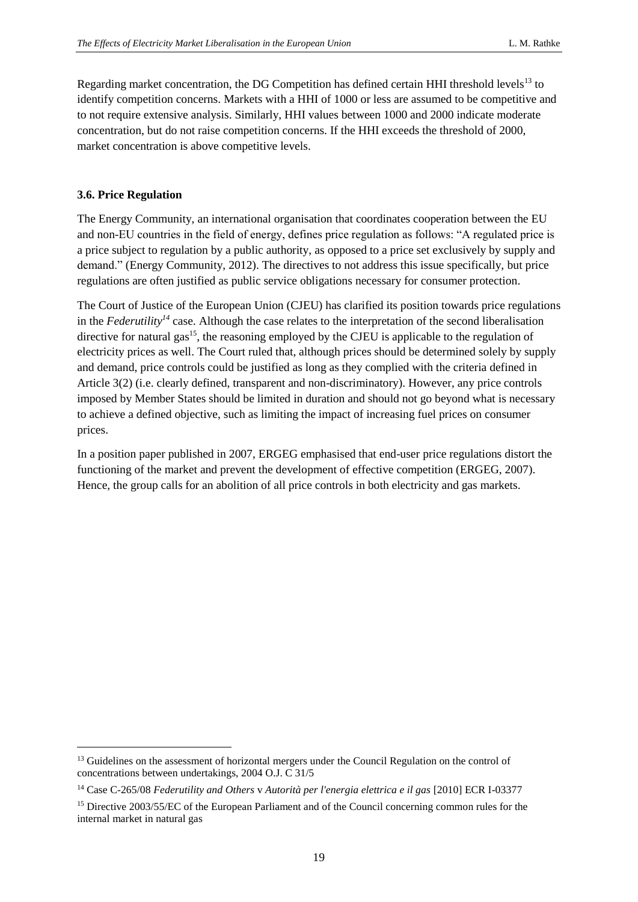Regarding market concentration, the DG Competition has defined certain HHI threshold levels $^{13}$  to identify competition concerns. Markets with a HHI of 1000 or less are assumed to be competitive and to not require extensive analysis. Similarly, HHI values between 1000 and 2000 indicate moderate concentration, but do not raise competition concerns. If the HHI exceeds the threshold of 2000, market concentration is above competitive levels.

#### <span id="page-19-0"></span>**3.6. Price Regulation**

-

The Energy Community, an international organisation that coordinates cooperation between the EU and non-EU countries in the field of energy, defines price regulation as follows: "A regulated price is a price subject to regulation by a public authority, as opposed to a price set exclusively by supply and demand." (Energy Community, 2012). The directives to not address this issue specifically, but price regulations are often justified as public service obligations necessary for consumer protection.

The Court of Justice of the European Union (CJEU) has clarified its position towards price regulations in the *Federutility*<sup> $14$ </sup> case. Although the case relates to the interpretation of the second liberalisation directive for natural gas<sup>15</sup>, the reasoning employed by the CJEU is applicable to the regulation of electricity prices as well. The Court ruled that, although prices should be determined solely by supply and demand, price controls could be justified as long as they complied with the criteria defined in Article 3(2) (i.e. clearly defined, transparent and non-discriminatory). However, any price controls imposed by Member States should be limited in duration and should not go beyond what is necessary to achieve a defined objective, such as limiting the impact of increasing fuel prices on consumer prices.

In a position paper published in 2007, ERGEG emphasised that end-user price regulations distort the functioning of the market and prevent the development of effective competition (ERGEG, 2007). Hence, the group calls for an abolition of all price controls in both electricity and gas markets.

<sup>&</sup>lt;sup>13</sup> Guidelines on the assessment of horizontal mergers under the Council Regulation on the control of concentrations between undertakings, 2004 O.J. C 31/5

<sup>14</sup> Case C-265/08 *Federutility and Others* v *Autorità per l'energia elettrica e il gas* [2010] ECR I-03377

<sup>&</sup>lt;sup>15</sup> Directive 2003/55/EC of the European Parliament and of the Council concerning common rules for the internal market in natural gas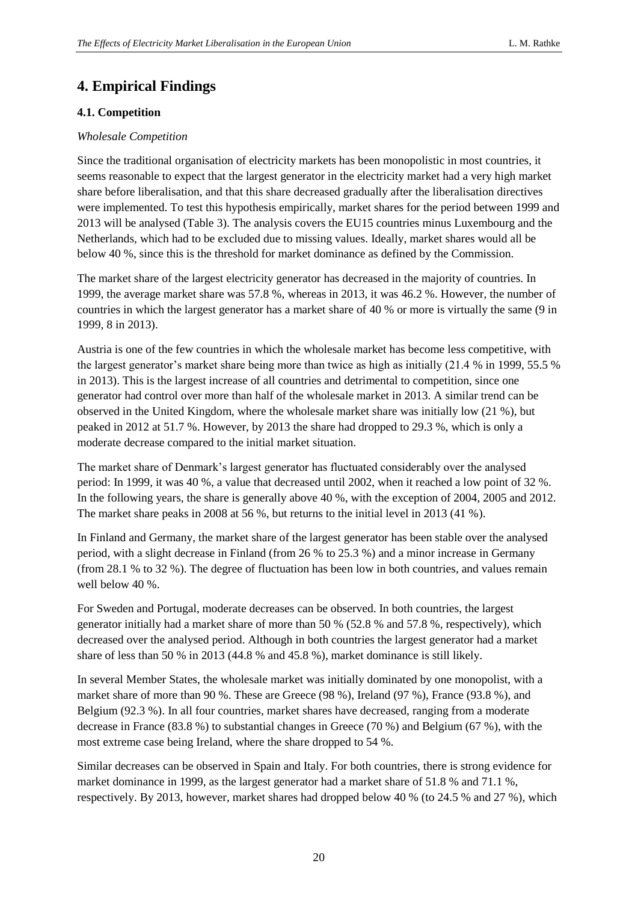## <span id="page-20-0"></span>**4. Empirical Findings**

### <span id="page-20-1"></span>**4.1. Competition**

#### <span id="page-20-2"></span>*Wholesale Competition*

Since the traditional organisation of electricity markets has been monopolistic in most countries, it seems reasonable to expect that the largest generator in the electricity market had a very high market share before liberalisation, and that this share decreased gradually after the liberalisation directives were implemented. To test this hypothesis empirically, market shares for the period between 1999 and 2013 will be analysed (Table 3). The analysis covers the EU15 countries minus Luxembourg and the Netherlands, which had to be excluded due to missing values. Ideally, market shares would all be below 40 %, since this is the threshold for market dominance as defined by the Commission.

The market share of the largest electricity generator has decreased in the majority of countries. In 1999, the average market share was 57.8 %, whereas in 2013, it was 46.2 %. However, the number of countries in which the largest generator has a market share of 40 % or more is virtually the same (9 in 1999, 8 in 2013).

Austria is one of the few countries in which the wholesale market has become less competitive, with the largest generator's market share being more than twice as high as initially (21.4 % in 1999, 55.5 % in 2013). This is the largest increase of all countries and detrimental to competition, since one generator had control over more than half of the wholesale market in 2013. A similar trend can be observed in the United Kingdom, where the wholesale market share was initially low (21 %), but peaked in 2012 at 51.7 %. However, by 2013 the share had dropped to 29.3 %, which is only a moderate decrease compared to the initial market situation.

The market share of Denmark's largest generator has fluctuated considerably over the analysed period: In 1999, it was 40 %, a value that decreased until 2002, when it reached a low point of 32 %. In the following years, the share is generally above 40 %, with the exception of 2004, 2005 and 2012. The market share peaks in 2008 at 56 %, but returns to the initial level in 2013 (41 %).

In Finland and Germany, the market share of the largest generator has been stable over the analysed period, with a slight decrease in Finland (from 26 % to 25.3 %) and a minor increase in Germany (from 28.1 % to 32 %). The degree of fluctuation has been low in both countries, and values remain well below 40 %.

For Sweden and Portugal, moderate decreases can be observed. In both countries, the largest generator initially had a market share of more than 50 % (52.8 % and 57.8 %, respectively), which decreased over the analysed period. Although in both countries the largest generator had a market share of less than 50 % in 2013 (44.8 % and 45.8 %), market dominance is still likely.

In several Member States, the wholesale market was initially dominated by one monopolist, with a market share of more than 90 %. These are Greece (98 %), Ireland (97 %), France (93.8 %), and Belgium (92.3 %). In all four countries, market shares have decreased, ranging from a moderate decrease in France (83.8 %) to substantial changes in Greece (70 %) and Belgium (67 %), with the most extreme case being Ireland, where the share dropped to 54 %.

Similar decreases can be observed in Spain and Italy. For both countries, there is strong evidence for market dominance in 1999, as the largest generator had a market share of 51.8 % and 71.1 %, respectively. By 2013, however, market shares had dropped below 40 % (to 24.5 % and 27 %), which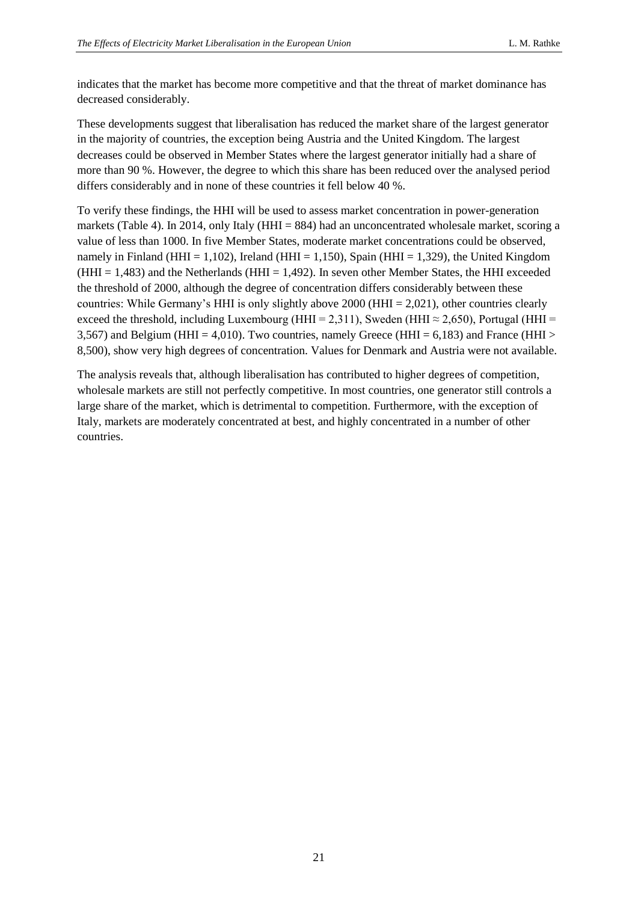indicates that the market has become more competitive and that the threat of market dominance has decreased considerably.

These developments suggest that liberalisation has reduced the market share of the largest generator in the majority of countries, the exception being Austria and the United Kingdom. The largest decreases could be observed in Member States where the largest generator initially had a share of more than 90 %. However, the degree to which this share has been reduced over the analysed period differs considerably and in none of these countries it fell below 40 %.

To verify these findings, the HHI will be used to assess market concentration in power-generation markets (Table 4). In 2014, only Italy (HHI = 884) had an unconcentrated wholesale market, scoring a value of less than 1000. In five Member States, moderate market concentrations could be observed, namely in Finland (HHI = 1,102), Ireland (HHI = 1,150), Spain (HHI = 1,329), the United Kingdom ( $HHI = 1,483$ ) and the Netherlands ( $HHI = 1,492$ ). In seven other Member States, the HHI exceeded the threshold of 2000, although the degree of concentration differs considerably between these countries: While Germany's HHI is only slightly above 2000 (HHI = 2,021), other countries clearly exceed the threshold, including Luxembourg (HHI = 2,311), Sweden (HHI  $\approx$  2,650), Portugal (HHI = 3,567) and Belgium (HHI = 4,010). Two countries, namely Greece (HHI = 6,183) and France (HHI > 8,500), show very high degrees of concentration. Values for Denmark and Austria were not available.

The analysis reveals that, although liberalisation has contributed to higher degrees of competition, wholesale markets are still not perfectly competitive. In most countries, one generator still controls a large share of the market, which is detrimental to competition. Furthermore, with the exception of Italy, markets are moderately concentrated at best, and highly concentrated in a number of other countries.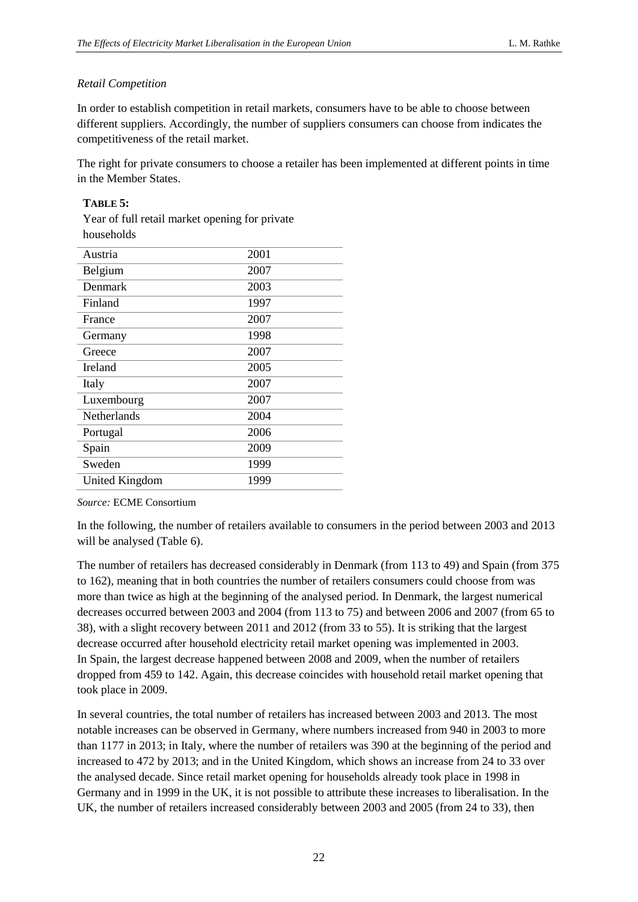## <span id="page-22-0"></span>*Retail Competition*

In order to establish competition in retail markets, consumers have to be able to choose between different suppliers. Accordingly, the number of suppliers consumers can choose from indicates the competitiveness of the retail market.

The right for private consumers to choose a retailer has been implemented at different points in time in the Member States.

#### **TABLE 5:**

Year of full retail market opening for private households

| Austria               | 2001 |
|-----------------------|------|
| Belgium               | 2007 |
| Denmark               | 2003 |
| Finland               | 1997 |
| France                | 2007 |
| Germany               | 1998 |
| Greece                | 2007 |
| Ireland               | 2005 |
| Italy                 | 2007 |
| Luxembourg            | 2007 |
| <b>Netherlands</b>    | 2004 |
| Portugal              | 2006 |
| Spain                 | 2009 |
| Sweden                | 1999 |
| <b>United Kingdom</b> | 1999 |
|                       |      |

*Source:* ECME Consortium

In the following, the number of retailers available to consumers in the period between 2003 and 2013 will be analysed (Table 6).

The number of retailers has decreased considerably in Denmark (from 113 to 49) and Spain (from 375 to 162), meaning that in both countries the number of retailers consumers could choose from was more than twice as high at the beginning of the analysed period. In Denmark, the largest numerical decreases occurred between 2003 and 2004 (from 113 to 75) and between 2006 and 2007 (from 65 to 38), with a slight recovery between 2011 and 2012 (from 33 to 55). It is striking that the largest decrease occurred after household electricity retail market opening was implemented in 2003. In Spain, the largest decrease happened between 2008 and 2009, when the number of retailers dropped from 459 to 142. Again, this decrease coincides with household retail market opening that took place in 2009.

In several countries, the total number of retailers has increased between 2003 and 2013. The most notable increases can be observed in Germany, where numbers increased from 940 in 2003 to more than 1177 in 2013; in Italy, where the number of retailers was 390 at the beginning of the period and increased to 472 by 2013; and in the United Kingdom, which shows an increase from 24 to 33 over the analysed decade. Since retail market opening for households already took place in 1998 in Germany and in 1999 in the UK, it is not possible to attribute these increases to liberalisation. In the UK, the number of retailers increased considerably between 2003 and 2005 (from 24 to 33), then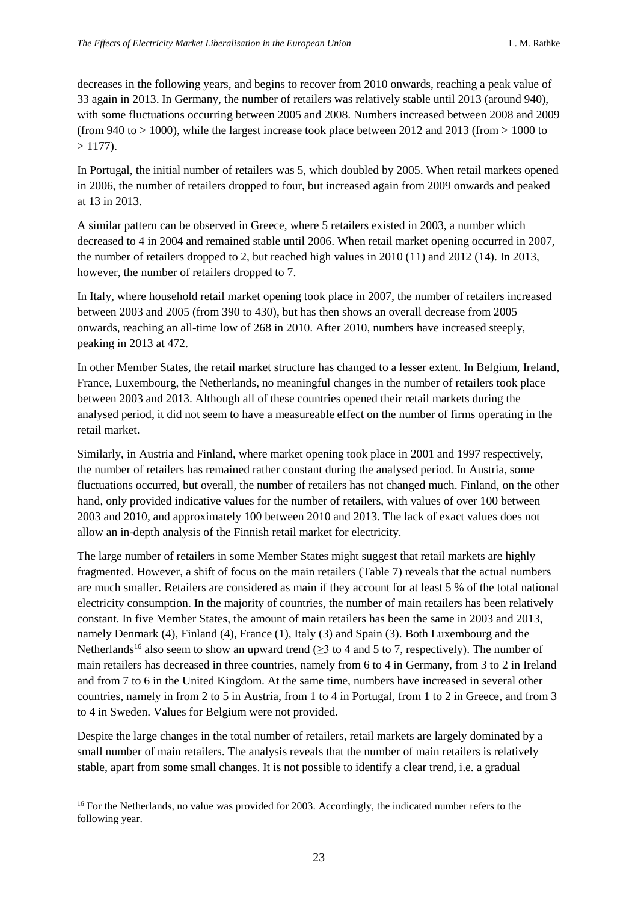decreases in the following years, and begins to recover from 2010 onwards, reaching a peak value of 33 again in 2013. In Germany, the number of retailers was relatively stable until 2013 (around 940), with some fluctuations occurring between 2005 and 2008. Numbers increased between 2008 and 2009 (from 940 to > 1000), while the largest increase took place between 2012 and 2013 (from > 1000 to  $> 1177$ ).

In Portugal, the initial number of retailers was 5, which doubled by 2005. When retail markets opened in 2006, the number of retailers dropped to four, but increased again from 2009 onwards and peaked at 13 in 2013.

A similar pattern can be observed in Greece, where 5 retailers existed in 2003, a number which decreased to 4 in 2004 and remained stable until 2006. When retail market opening occurred in 2007, the number of retailers dropped to 2, but reached high values in 2010 (11) and 2012 (14). In 2013, however, the number of retailers dropped to 7.

In Italy, where household retail market opening took place in 2007, the number of retailers increased between 2003 and 2005 (from 390 to 430), but has then shows an overall decrease from 2005 onwards, reaching an all-time low of 268 in 2010. After 2010, numbers have increased steeply, peaking in 2013 at 472.

In other Member States, the retail market structure has changed to a lesser extent. In Belgium, Ireland, France, Luxembourg, the Netherlands, no meaningful changes in the number of retailers took place between 2003 and 2013. Although all of these countries opened their retail markets during the analysed period, it did not seem to have a measureable effect on the number of firms operating in the retail market.

Similarly, in Austria and Finland, where market opening took place in 2001 and 1997 respectively, the number of retailers has remained rather constant during the analysed period. In Austria, some fluctuations occurred, but overall, the number of retailers has not changed much. Finland, on the other hand, only provided indicative values for the number of retailers, with values of over 100 between 2003 and 2010, and approximately 100 between 2010 and 2013. The lack of exact values does not allow an in-depth analysis of the Finnish retail market for electricity.

The large number of retailers in some Member States might suggest that retail markets are highly fragmented. However, a shift of focus on the main retailers (Table 7) reveals that the actual numbers are much smaller. Retailers are considered as main if they account for at least 5 % of the total national electricity consumption. In the majority of countries, the number of main retailers has been relatively constant. In five Member States, the amount of main retailers has been the same in 2003 and 2013, namely Denmark (4), Finland (4), France (1), Italy (3) and Spain (3). Both Luxembourg and the Netherlands<sup>16</sup> also seem to show an upward trend ( $\geq$ 3 to 4 and 5 to 7, respectively). The number of main retailers has decreased in three countries, namely from 6 to 4 in Germany, from 3 to 2 in Ireland and from 7 to 6 in the United Kingdom. At the same time, numbers have increased in several other countries, namely in from 2 to 5 in Austria, from 1 to 4 in Portugal, from 1 to 2 in Greece, and from 3 to 4 in Sweden. Values for Belgium were not provided.

Despite the large changes in the total number of retailers, retail markets are largely dominated by a small number of main retailers. The analysis reveals that the number of main retailers is relatively stable, apart from some small changes. It is not possible to identify a clear trend, i.e. a gradual

-

<sup>&</sup>lt;sup>16</sup> For the Netherlands, no value was provided for 2003. Accordingly, the indicated number refers to the following year.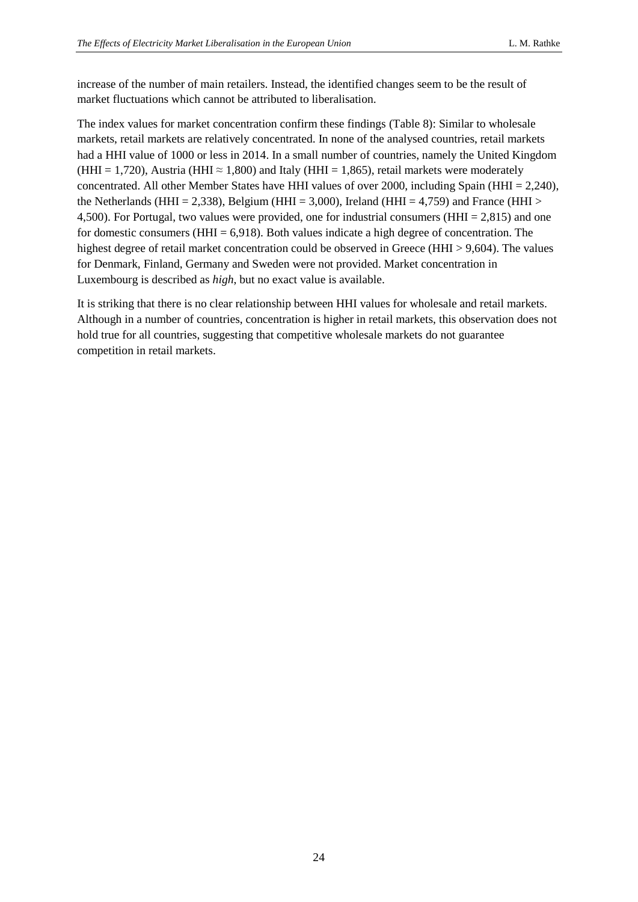increase of the number of main retailers. Instead, the identified changes seem to be the result of market fluctuations which cannot be attributed to liberalisation.

The index values for market concentration confirm these findings (Table 8): Similar to wholesale markets, retail markets are relatively concentrated. In none of the analysed countries, retail markets had a HHI value of 1000 or less in 2014. In a small number of countries, namely the United Kingdom (HHI = 1,720), Austria (HHI  $\approx$  1,800) and Italy (HHI = 1,865), retail markets were moderately concentrated. All other Member States have HHI values of over 2000, including Spain (HHI = 2,240), the Netherlands (HHI = 2,338), Belgium (HHI = 3,000), Ireland (HHI = 4,759) and France (HHI > 4,500). For Portugal, two values were provided, one for industrial consumers (HHI = 2,815) and one for domestic consumers ( $HHI = 6,918$ ). Both values indicate a high degree of concentration. The highest degree of retail market concentration could be observed in Greece (HHI > 9,604). The values for Denmark, Finland, Germany and Sweden were not provided. Market concentration in Luxembourg is described as *high*, but no exact value is available.

It is striking that there is no clear relationship between HHI values for wholesale and retail markets. Although in a number of countries, concentration is higher in retail markets, this observation does not hold true for all countries, suggesting that competitive wholesale markets do not guarantee competition in retail markets.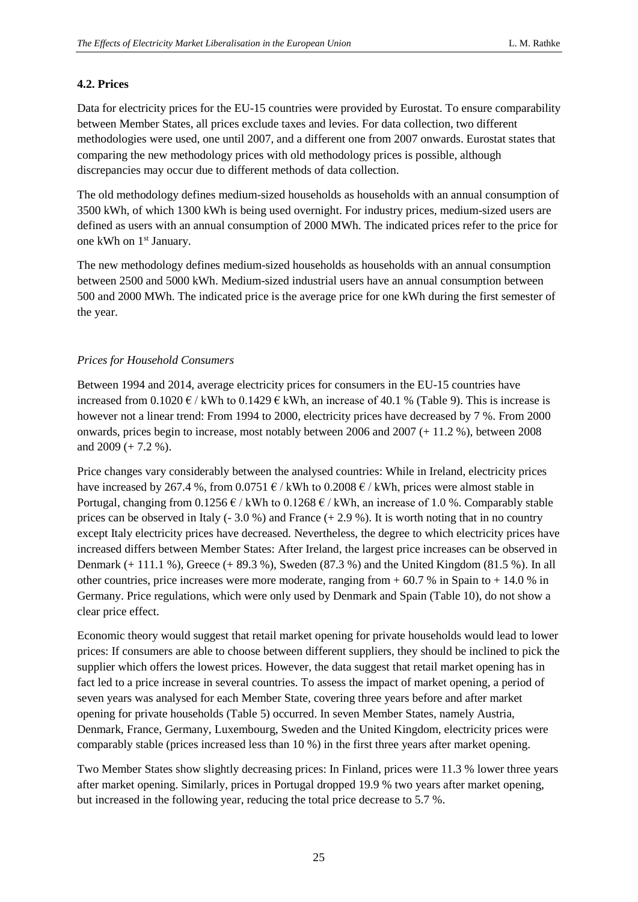#### <span id="page-25-0"></span>**4.2. Prices**

Data for electricity prices for the EU-15 countries were provided by Eurostat. To ensure comparability between Member States, all prices exclude taxes and levies. For data collection, two different methodologies were used, one until 2007, and a different one from 2007 onwards. Eurostat states that comparing the new methodology prices with old methodology prices is possible, although discrepancies may occur due to different methods of data collection.

The old methodology defines medium-sized households as households with an annual consumption of 3500 kWh, of which 1300 kWh is being used overnight. For industry prices, medium-sized users are defined as users with an annual consumption of 2000 MWh. The indicated prices refer to the price for one kWh on 1<sup>st</sup> January.

The new methodology defines medium-sized households as households with an annual consumption between 2500 and 5000 kWh. Medium-sized industrial users have an annual consumption between 500 and 2000 MWh. The indicated price is the average price for one kWh during the first semester of the year.

#### <span id="page-25-1"></span>*Prices for Household Consumers*

Between 1994 and 2014, average electricity prices for consumers in the EU-15 countries have increased from 0.1020  $\epsilon$  / kWh to 0.1429  $\epsilon$  kWh, an increase of 40.1 % (Table 9). This is increase is however not a linear trend: From 1994 to 2000, electricity prices have decreased by 7 %. From 2000 onwards, prices begin to increase, most notably between 2006 and 2007 (+ 11.2 %), between 2008 and  $2009 (+ 7.2 %).$ 

Price changes vary considerably between the analysed countries: While in Ireland, electricity prices have increased by 267.4 %, from  $0.0751 \text{ }\epsilon$  / kWh to  $0.2008 \text{ }\epsilon$  / kWh, prices were almost stable in Portugal, changing from  $0.1256 \in /$  kWh to  $0.1268 \in /$  kWh, an increase of 1.0 %. Comparably stable prices can be observed in Italy  $(-3.0\%)$  and France  $(+ 2.9\%)$ . It is worth noting that in no country except Italy electricity prices have decreased. Nevertheless, the degree to which electricity prices have increased differs between Member States: After Ireland, the largest price increases can be observed in Denmark (+ 111.1 %), Greece (+ 89.3 %), Sweden (87.3 %) and the United Kingdom (81.5 %). In all other countries, price increases were more moderate, ranging from  $+ 60.7$  % in Spain to  $+ 14.0$  % in Germany. Price regulations, which were only used by Denmark and Spain (Table 10), do not show a clear price effect.

Economic theory would suggest that retail market opening for private households would lead to lower prices: If consumers are able to choose between different suppliers, they should be inclined to pick the supplier which offers the lowest prices. However, the data suggest that retail market opening has in fact led to a price increase in several countries. To assess the impact of market opening, a period of seven years was analysed for each Member State, covering three years before and after market opening for private households (Table 5) occurred. In seven Member States, namely Austria, Denmark, France, Germany, Luxembourg, Sweden and the United Kingdom, electricity prices were comparably stable (prices increased less than 10 %) in the first three years after market opening.

Two Member States show slightly decreasing prices: In Finland, prices were 11.3 % lower three years after market opening. Similarly, prices in Portugal dropped 19.9 % two years after market opening, but increased in the following year, reducing the total price decrease to 5.7 %.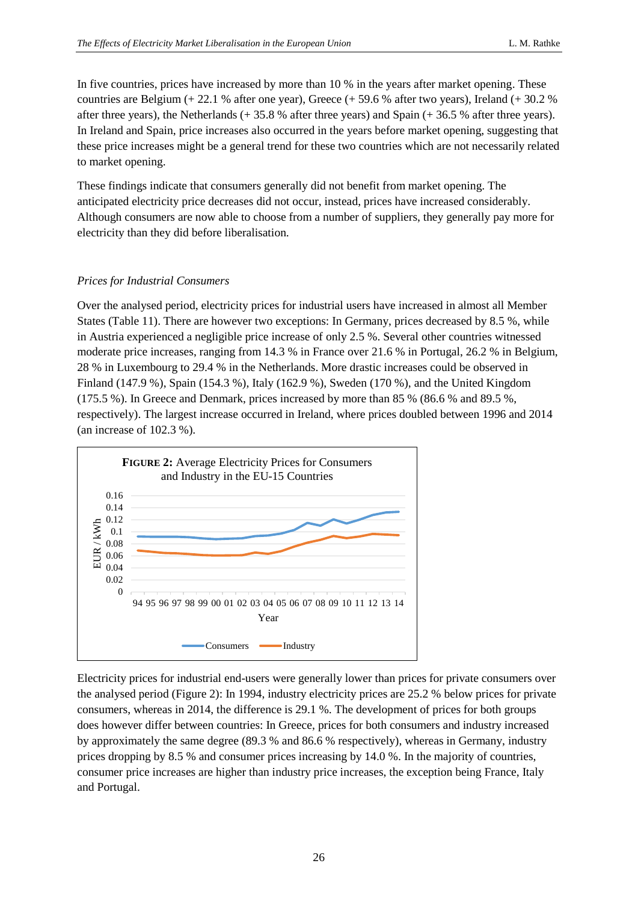In five countries, prices have increased by more than 10 % in the years after market opening. These countries are Belgium (+ 22.1 % after one year), Greece (+ 59.6 % after two years), Ireland (+ 30.2 % after three years), the Netherlands (+ 35.8 % after three years) and Spain (+ 36.5 % after three years). In Ireland and Spain, price increases also occurred in the years before market opening, suggesting that these price increases might be a general trend for these two countries which are not necessarily related to market opening.

These findings indicate that consumers generally did not benefit from market opening. The anticipated electricity price decreases did not occur, instead, prices have increased considerably. Although consumers are now able to choose from a number of suppliers, they generally pay more for electricity than they did before liberalisation.

### <span id="page-26-0"></span>*Prices for Industrial Consumers*

Over the analysed period, electricity prices for industrial users have increased in almost all Member States (Table 11). There are however two exceptions: In Germany, prices decreased by 8.5 %, while in Austria experienced a negligible price increase of only 2.5 %. Several other countries witnessed moderate price increases, ranging from 14.3 % in France over 21.6 % in Portugal, 26.2 % in Belgium, 28 % in Luxembourg to 29.4 % in the Netherlands. More drastic increases could be observed in Finland (147.9 %), Spain (154.3 %), Italy (162.9 %), Sweden (170 %), and the United Kingdom  $(175.5\%)$ . In Greece and Denmark, prices increased by more than 85 % (86.6 % and 89.5 %, respectively). The largest increase occurred in Ireland, where prices doubled between 1996 and 2014 (an increase of 102.3 %).



Electricity prices for industrial end-users were generally lower than prices for private consumers over the analysed period (Figure 2): In 1994, industry electricity prices are 25.2 % below prices for private consumers, whereas in 2014, the difference is 29.1 %. The development of prices for both groups does however differ between countries: In Greece, prices for both consumers and industry increased by approximately the same degree (89.3 % and 86.6 % respectively), whereas in Germany, industry prices dropping by 8.5 % and consumer prices increasing by 14.0 %. In the majority of countries, consumer price increases are higher than industry price increases, the exception being France, Italy and Portugal.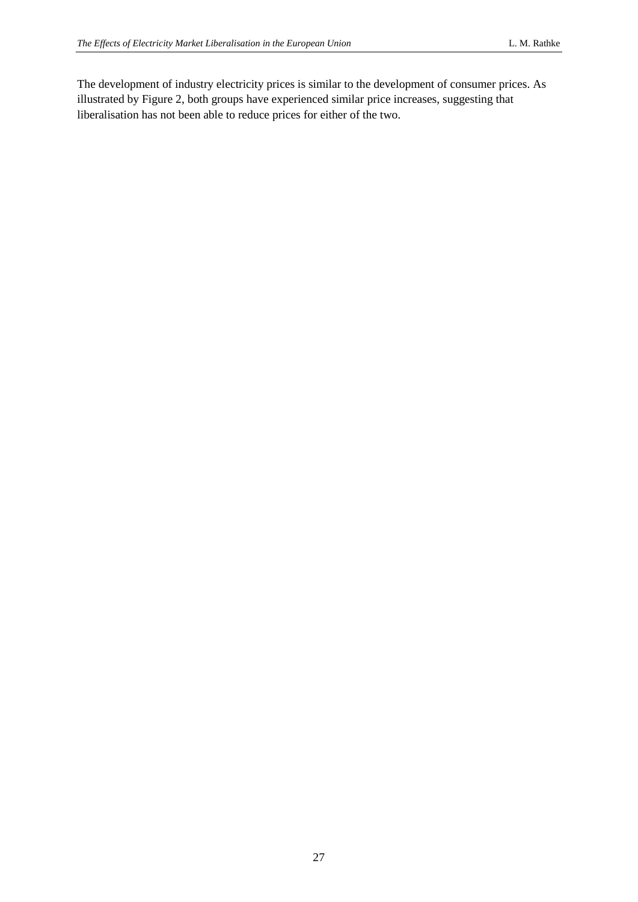The development of industry electricity prices is similar to the development of consumer prices. As illustrated by Figure 2, both groups have experienced similar price increases, suggesting that liberalisation has not been able to reduce prices for either of the two.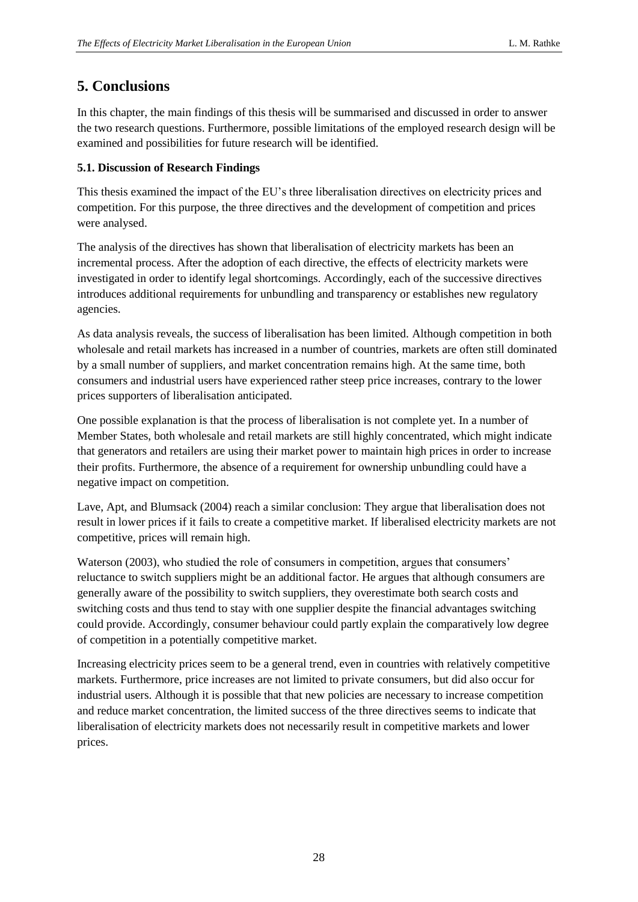## <span id="page-28-0"></span>**5. Conclusions**

In this chapter, the main findings of this thesis will be summarised and discussed in order to answer the two research questions. Furthermore, possible limitations of the employed research design will be examined and possibilities for future research will be identified.

## <span id="page-28-1"></span>**5.1. Discussion of Research Findings**

This thesis examined the impact of the EU's three liberalisation directives on electricity prices and competition. For this purpose, the three directives and the development of competition and prices were analysed.

The analysis of the directives has shown that liberalisation of electricity markets has been an incremental process. After the adoption of each directive, the effects of electricity markets were investigated in order to identify legal shortcomings. Accordingly, each of the successive directives introduces additional requirements for unbundling and transparency or establishes new regulatory agencies.

As data analysis reveals, the success of liberalisation has been limited. Although competition in both wholesale and retail markets has increased in a number of countries, markets are often still dominated by a small number of suppliers, and market concentration remains high. At the same time, both consumers and industrial users have experienced rather steep price increases, contrary to the lower prices supporters of liberalisation anticipated.

One possible explanation is that the process of liberalisation is not complete yet. In a number of Member States, both wholesale and retail markets are still highly concentrated, which might indicate that generators and retailers are using their market power to maintain high prices in order to increase their profits. Furthermore, the absence of a requirement for ownership unbundling could have a negative impact on competition.

Lave, Apt, and Blumsack (2004) reach a similar conclusion: They argue that liberalisation does not result in lower prices if it fails to create a competitive market. If liberalised electricity markets are not competitive, prices will remain high.

Waterson (2003), who studied the role of consumers in competition, argues that consumers' reluctance to switch suppliers might be an additional factor. He argues that although consumers are generally aware of the possibility to switch suppliers, they overestimate both search costs and switching costs and thus tend to stay with one supplier despite the financial advantages switching could provide. Accordingly, consumer behaviour could partly explain the comparatively low degree of competition in a potentially competitive market.

Increasing electricity prices seem to be a general trend, even in countries with relatively competitive markets. Furthermore, price increases are not limited to private consumers, but did also occur for industrial users. Although it is possible that that new policies are necessary to increase competition and reduce market concentration, the limited success of the three directives seems to indicate that liberalisation of electricity markets does not necessarily result in competitive markets and lower prices.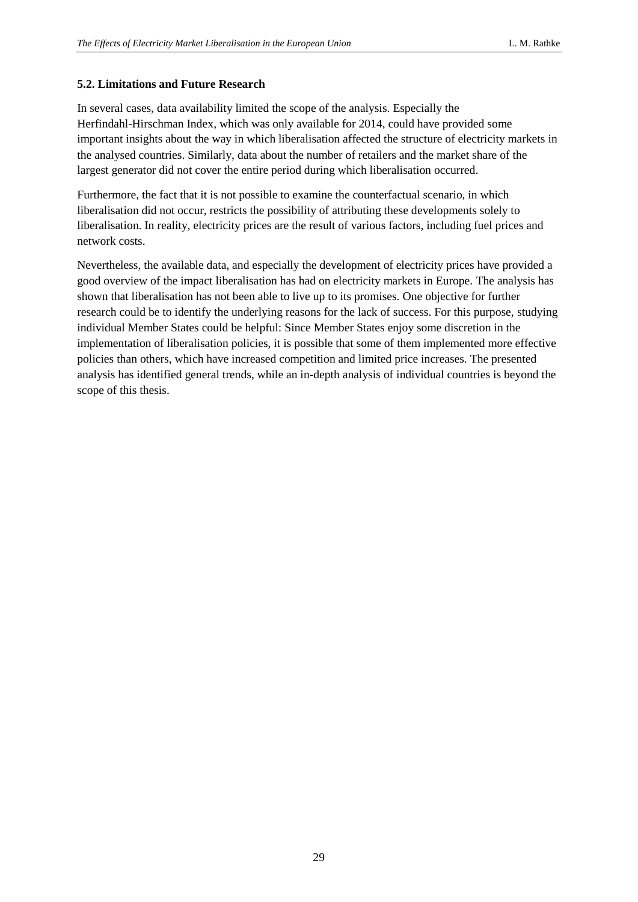### <span id="page-29-0"></span>**5.2. Limitations and Future Research**

In several cases, data availability limited the scope of the analysis. Especially the Herfindahl-Hirschman Index, which was only available for 2014, could have provided some important insights about the way in which liberalisation affected the structure of electricity markets in the analysed countries. Similarly, data about the number of retailers and the market share of the largest generator did not cover the entire period during which liberalisation occurred.

Furthermore, the fact that it is not possible to examine the counterfactual scenario, in which liberalisation did not occur, restricts the possibility of attributing these developments solely to liberalisation. In reality, electricity prices are the result of various factors, including fuel prices and network costs.

Nevertheless, the available data, and especially the development of electricity prices have provided a good overview of the impact liberalisation has had on electricity markets in Europe. The analysis has shown that liberalisation has not been able to live up to its promises. One objective for further research could be to identify the underlying reasons for the lack of success. For this purpose, studying individual Member States could be helpful: Since Member States enjoy some discretion in the implementation of liberalisation policies, it is possible that some of them implemented more effective policies than others, which have increased competition and limited price increases. The presented analysis has identified general trends, while an in-depth analysis of individual countries is beyond the scope of this thesis.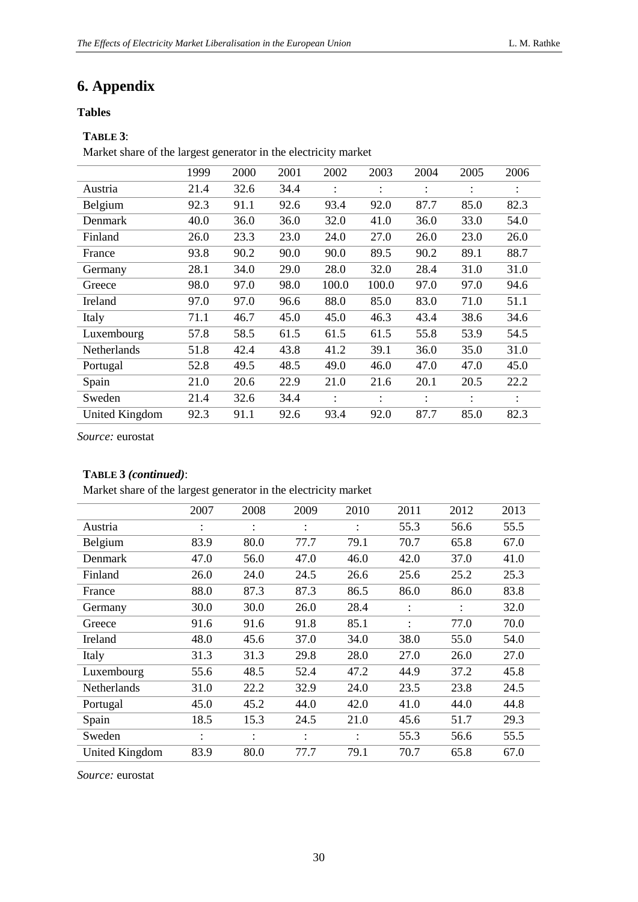## <span id="page-30-0"></span>**6. Appendix**

#### <span id="page-30-1"></span>**Tables**

## **TABLE 3**:

Market share of the largest generator in the electricity market

|                | 1999 | 2000 | 2001 | 2002  | 2003  | 2004           | 2005           | 2006 |
|----------------|------|------|------|-------|-------|----------------|----------------|------|
| Austria        | 21.4 | 32.6 | 34.4 |       |       | $\ddot{\cdot}$ |                |      |
| Belgium        | 92.3 | 91.1 | 92.6 | 93.4  | 92.0  | 87.7           | 85.0           | 82.3 |
| Denmark        | 40.0 | 36.0 | 36.0 | 32.0  | 41.0  | 36.0           | 33.0           | 54.0 |
| Finland        | 26.0 | 23.3 | 23.0 | 24.0  | 27.0  | 26.0           | 23.0           | 26.0 |
| France         | 93.8 | 90.2 | 90.0 | 90.0  | 89.5  | 90.2           | 89.1           | 88.7 |
| Germany        | 28.1 | 34.0 | 29.0 | 28.0  | 32.0  | 28.4           | 31.0           | 31.0 |
| Greece         | 98.0 | 97.0 | 98.0 | 100.0 | 100.0 | 97.0           | 97.0           | 94.6 |
| Ireland        | 97.0 | 97.0 | 96.6 | 88.0  | 85.0  | 83.0           | 71.0           | 51.1 |
| Italy          | 71.1 | 46.7 | 45.0 | 45.0  | 46.3  | 43.4           | 38.6           | 34.6 |
| Luxembourg     | 57.8 | 58.5 | 61.5 | 61.5  | 61.5  | 55.8           | 53.9           | 54.5 |
| Netherlands    | 51.8 | 42.4 | 43.8 | 41.2  | 39.1  | 36.0           | 35.0           | 31.0 |
| Portugal       | 52.8 | 49.5 | 48.5 | 49.0  | 46.0  | 47.0           | 47.0           | 45.0 |
| Spain          | 21.0 | 20.6 | 22.9 | 21.0  | 21.6  | 20.1           | 20.5           | 22.2 |
| Sweden         | 21.4 | 32.6 | 34.4 |       |       | $\ddot{\cdot}$ | $\ddot{\cdot}$ |      |
| United Kingdom | 92.3 | 91.1 | 92.6 | 93.4  | 92.0  | 87.7           | 85.0           | 82.3 |

*Source:* eurostat

### **TABLE 3** *(continued)*:

Market share of the largest generator in the electricity market

|                       | 2007 | 2008      | 2009 | 2010 | 2011      | 2012           | 2013 |
|-----------------------|------|-----------|------|------|-----------|----------------|------|
| Austria               |      | $\bullet$ |      |      | 55.3      | 56.6           | 55.5 |
| Belgium               | 83.9 | 80.0      | 77.7 | 79.1 | 70.7      | 65.8           | 67.0 |
| Denmark               | 47.0 | 56.0      | 47.0 | 46.0 | 42.0      | 37.0           | 41.0 |
| Finland               | 26.0 | 24.0      | 24.5 | 26.6 | 25.6      | 25.2           | 25.3 |
| France                | 88.0 | 87.3      | 87.3 | 86.5 | 86.0      | 86.0           | 83.8 |
| Germany               | 30.0 | 30.0      | 26.0 | 28.4 | $\bullet$ | $\ddot{\cdot}$ | 32.0 |
| Greece                | 91.6 | 91.6      | 91.8 | 85.1 |           | 77.0           | 70.0 |
| <b>Ireland</b>        | 48.0 | 45.6      | 37.0 | 34.0 | 38.0      | 55.0           | 54.0 |
| Italy                 | 31.3 | 31.3      | 29.8 | 28.0 | 27.0      | 26.0           | 27.0 |
| Luxembourg            | 55.6 | 48.5      | 52.4 | 47.2 | 44.9      | 37.2           | 45.8 |
| <b>Netherlands</b>    | 31.0 | 22.2      | 32.9 | 24.0 | 23.5      | 23.8           | 24.5 |
| Portugal              | 45.0 | 45.2      | 44.0 | 42.0 | 41.0      | 44.0           | 44.8 |
| Spain                 | 18.5 | 15.3      | 24.5 | 21.0 | 45.6      | 51.7           | 29.3 |
| Sweden                | ٠    | $\bullet$ | ٠    |      | 55.3      | 56.6           | 55.5 |
| <b>United Kingdom</b> | 83.9 | 80.0      | 77.7 | 79.1 | 70.7      | 65.8           | 67.0 |

*Source:* eurostat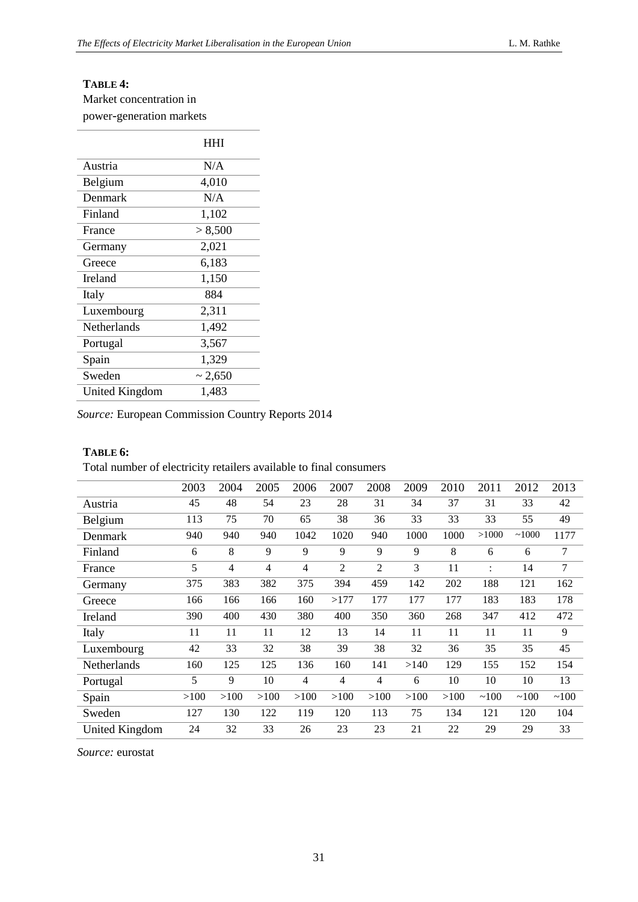## **TABLE 4:**

Market concentration in power-generation markets

|                | HHI          |
|----------------|--------------|
| Austria        | N/A          |
| Belgium        | 4,010        |
| Denmark        | N/A          |
| Finland        | 1,102        |
| France         | > 8,500      |
| Germany        | 2,021        |
| Greece         | 6,183        |
| <b>Ireland</b> | 1,150        |
| Italy          | 884          |
| Luxembourg     | 2,311        |
| Netherlands    | 1,492        |
| Portugal       | 3,567        |
| Spain          | 1,329        |
| Sweden         | $\sim 2,650$ |
| United Kingdom | 1,483        |

*Source:* European Commission Country Reports 2014

#### **TABLE 6:**

Total number of electricity retailers available to final consumers

|                       | 2003 | 2004 | 2005 | 2006           | 2007           | 2008 | 2009 | 2010 | 2011           | 2012  | 2013   |
|-----------------------|------|------|------|----------------|----------------|------|------|------|----------------|-------|--------|
| Austria               | 45   | 48   | 54   | 23             | 28             | 31   | 34   | 37   | 31             | 33    | 42     |
| Belgium               | 113  | 75   | 70   | 65             | 38             | 36   | 33   | 33   | 33             | 55    | 49     |
| Denmark               | 940  | 940  | 940  | 1042           | 1020           | 940  | 1000 | 1000 | >1000          | ~1000 | 1177   |
| Finland               | 6    | 8    | 9    | 9              | 9              | 9    | 9    | 8    | 6              | 6     | $\tau$ |
| France                | 5    | 4    | 4    | $\overline{4}$ | 2              | 2    | 3    | 11   | $\ddot{\cdot}$ | 14    | $\tau$ |
| Germany               | 375  | 383  | 382  | 375            | 394            | 459  | 142  | 202  | 188            | 121   | 162    |
| Greece                | 166  | 166  | 166  | 160            | >177           | 177  | 177  | 177  | 183            | 183   | 178    |
| Ireland               | 390  | 400  | 430  | 380            | 400            | 350  | 360  | 268  | 347            | 412   | 472    |
| Italy                 | 11   | 11   | 11   | 12             | 13             | 14   | 11   | 11   | 11             | 11    | 9      |
| Luxembourg            | 42   | 33   | 32   | 38             | 39             | 38   | 32   | 36   | 35             | 35    | 45     |
| Netherlands           | 160  | 125  | 125  | 136            | 160            | 141  | >140 | 129  | 155            | 152   | 154    |
| Portugal              | 5    | 9    | 10   | $\overline{4}$ | $\overline{4}$ | 4    | 6    | 10   | 10             | 10    | 13     |
| Spain                 | >100 | >100 | >100 | >100           | >100           | >100 | >100 | >100 | ~100           | ~100  | ~100   |
| Sweden                | 127  | 130  | 122  | 119            | 120            | 113  | 75   | 134  | 121            | 120   | 104    |
| <b>United Kingdom</b> | 24   | 32   | 33   | 26             | 23             | 23   | 21   | 22   | 29             | 29    | 33     |

*Source:* eurostat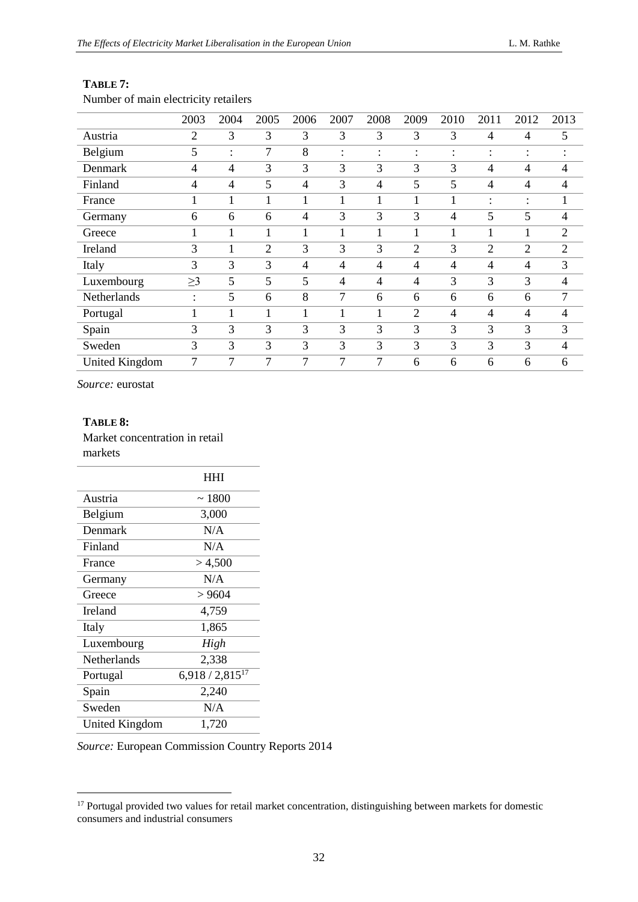|                       | 2003                      | 2004           | 2005           | 2006 | 2007 | 2008                 | 2009                      | 2010                      | 2011           | 2012                   | 2013                   |
|-----------------------|---------------------------|----------------|----------------|------|------|----------------------|---------------------------|---------------------------|----------------|------------------------|------------------------|
| Austria               | $\overline{2}$            | 3              | 3              | 3    | 3    | 3                    | 3                         | 3                         | 4              | 4                      | 5                      |
| Belgium               | 5                         | ٠              | 7              | 8    | ٠    | $\bullet$<br>$\cdot$ | ٠<br>$\ddot{\phantom{a}}$ | ٠<br>$\ddot{\phantom{a}}$ | ٠<br>$\bullet$ | ٠<br>$\bullet$         | $\bullet$<br>$\bullet$ |
| Denmark               | 4                         | $\overline{4}$ | 3              | 3    | 3    | 3                    | 3                         | 3                         | 4              | 4                      | $\overline{4}$         |
| Finland               | 4                         | $\overline{4}$ | 5              | 4    | 3    | $\overline{4}$       | 5                         | 5                         | 4              | 4                      | $\overline{4}$         |
| France                |                           | 1              | 1              |      |      | 1                    | 1                         |                           | ۰              | $\bullet$<br>$\bullet$ | 1                      |
| Germany               | 6                         | 6              | 6              | 4    | 3    | 3                    | 3                         | 4                         | 5              | 5                      | $\overline{4}$         |
| Greece                |                           |                | $\mathbf{1}$   | 1    |      | 1                    | 1                         | $\mathbf{1}$              |                | 1                      | $\overline{2}$         |
| Ireland               | 3                         | 1              | $\overline{2}$ | 3    | 3    | 3                    | $\overline{2}$            | 3                         | $\overline{2}$ | $\overline{2}$         | $\overline{2}$         |
| Italy                 | 3                         | 3              | 3              | 4    | 4    | $\overline{4}$       | 4                         | $\overline{4}$            | 4              | 4                      | 3                      |
| Luxembourg            | $\geq$ 3                  | 5              | 5              | 5    | 4    | $\overline{4}$       | $\overline{4}$            | 3                         | 3              | 3                      | $\overline{4}$         |
| Netherlands           | ٠<br>$\ddot{\phantom{a}}$ | 5              | 6              | 8    | 7    | 6                    | 6                         | 6                         | 6              | 6                      | 7                      |
| Portugal              |                           | 1              | 1              | 1    |      | $\mathbf{1}$         | $\overline{2}$            | $\overline{4}$            | 4              | 4                      | $\overline{4}$         |
| Spain                 | 3                         | 3              | 3              | 3    | 3    | 3                    | 3                         | 3                         | 3              | 3                      | 3                      |
| Sweden                | 3                         | 3              | 3              | 3    | 3    | 3                    | 3                         | 3                         | 3              | 3                      | $\overline{4}$         |
| <b>United Kingdom</b> | 7                         | 7              | 7              | 7    | 7    | 7                    | 6                         | 6                         | 6              | 6                      | 6                      |

#### **TABLE 7:**

Number of main electricity retailers

*Source:* eurostat

#### **TABLE 8:**

Market concentration in retail markets

-

|                       | HHI                           |
|-----------------------|-------------------------------|
| Austria               | ~1800                         |
| Belgium               | 3,000                         |
| Denmark               | N/A                           |
| Finland               | N/A                           |
| France                | > 4,500                       |
| Germany               | N/A                           |
| Greece                | > 9604                        |
| Ireland               | 4,759                         |
| Italy                 | 1,865                         |
| Luxembourg            | High                          |
| <b>Netherlands</b>    | 2,338                         |
| Portugal              | 6,918 / 2,815 $\overline{17}$ |
| Spain                 | 2,240                         |
| Sweden                | N/A                           |
| <b>United Kingdom</b> | 1,720                         |

*Source:* European Commission Country Reports 2014

<sup>&</sup>lt;sup>17</sup> Portugal provided two values for retail market concentration, distinguishing between markets for domestic consumers and industrial consumers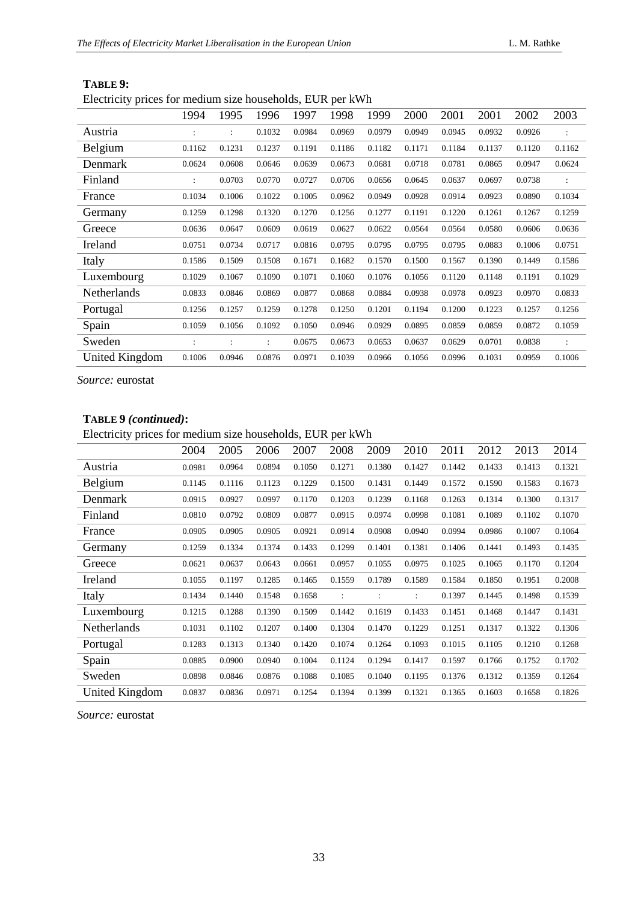|                       | 1994   | 1995                 | 1996           | 1997   | 1998   | 1999   | 2000   | 2001   | 2001   | 2002   | 2003                 |
|-----------------------|--------|----------------------|----------------|--------|--------|--------|--------|--------|--------|--------|----------------------|
| Austria               |        | $\ddot{\phantom{a}}$ | 0.1032         | 0.0984 | 0.0969 | 0.0979 | 0.0949 | 0.0945 | 0.0932 | 0.0926 |                      |
| Belgium               | 0.1162 | 0.1231               | 0.1237         | 0.1191 | 0.1186 | 0.1182 | 0.1171 | 0.1184 | 0.1137 | 0.1120 | 0.1162               |
| Denmark               | 0.0624 | 0.0608               | 0.0646         | 0.0639 | 0.0673 | 0.0681 | 0.0718 | 0.0781 | 0.0865 | 0.0947 | 0.0624               |
| Finland               |        | 0.0703               | 0.0770         | 0.0727 | 0.0706 | 0.0656 | 0.0645 | 0.0637 | 0.0697 | 0.0738 |                      |
| France                | 0.1034 | 0.1006               | 0.1022         | 0.1005 | 0.0962 | 0.0949 | 0.0928 | 0.0914 | 0.0923 | 0.0890 | 0.1034               |
| Germany               | 0.1259 | 0.1298               | 0.1320         | 0.1270 | 0.1256 | 0.1277 | 0.1191 | 0.1220 | 0.1261 | 0.1267 | 0.1259               |
| Greece                | 0.0636 | 0.0647               | 0.0609         | 0.0619 | 0.0627 | 0.0622 | 0.0564 | 0.0564 | 0.0580 | 0.0606 | 0.0636               |
| Ireland               | 0.0751 | 0.0734               | 0.0717         | 0.0816 | 0.0795 | 0.0795 | 0.0795 | 0.0795 | 0.0883 | 0.1006 | 0.0751               |
| Italy                 | 0.1586 | 0.1509               | 0.1508         | 0.1671 | 0.1682 | 0.1570 | 0.1500 | 0.1567 | 0.1390 | 0.1449 | 0.1586               |
| Luxembourg            | 0.1029 | 0.1067               | 0.1090         | 0.1071 | 0.1060 | 0.1076 | 0.1056 | 0.1120 | 0.1148 | 0.1191 | 0.1029               |
| Netherlands           | 0.0833 | 0.0846               | 0.0869         | 0.0877 | 0.0868 | 0.0884 | 0.0938 | 0.0978 | 0.0923 | 0.0970 | 0.0833               |
| Portugal              | 0.1256 | 0.1257               | 0.1259         | 0.1278 | 0.1250 | 0.1201 | 0.1194 | 0.1200 | 0.1223 | 0.1257 | 0.1256               |
| Spain                 | 0.1059 | 0.1056               | 0.1092         | 0.1050 | 0.0946 | 0.0929 | 0.0895 | 0.0859 | 0.0859 | 0.0872 | 0.1059               |
| Sweden                |        |                      | $\ddot{\cdot}$ | 0.0675 | 0.0673 | 0.0653 | 0.0637 | 0.0629 | 0.0701 | 0.0838 | $\ddot{\phantom{a}}$ |
| <b>United Kingdom</b> | 0.1006 | 0.0946               | 0.0876         | 0.0971 | 0.1039 | 0.0966 | 0.1056 | 0.0996 | 0.1031 | 0.0959 | 0.1006               |

#### **TABLE 9:**

Electricity prices for medium size households, EUR per kWh

*Source:* eurostat

### **TABLE 9** *(continued)***:**

Electricity prices for medium size households, EUR per kWh

|                       | 2004   | 2005   | 2006   | 2007   | 2008   | 2009                 | 2010   | 2011   | 2012   | 2013   | 2014   |
|-----------------------|--------|--------|--------|--------|--------|----------------------|--------|--------|--------|--------|--------|
| Austria               | 0.0981 | 0.0964 | 0.0894 | 0.1050 | 0.1271 | 0.1380               | 0.1427 | 0.1442 | 0.1433 | 0.1413 | 0.1321 |
| Belgium               | 0.1145 | 0.1116 | 0.1123 | 0.1229 | 0.1500 | 0.1431               | 0.1449 | 0.1572 | 0.1590 | 0.1583 | 0.1673 |
| Denmark               | 0.0915 | 0.0927 | 0.0997 | 0.1170 | 0.1203 | 0.1239               | 0.1168 | 0.1263 | 0.1314 | 0.1300 | 0.1317 |
| Finland               | 0.0810 | 0.0792 | 0.0809 | 0.0877 | 0.0915 | 0.0974               | 0.0998 | 0.1081 | 0.1089 | 0.1102 | 0.1070 |
| France                | 0.0905 | 0.0905 | 0.0905 | 0.0921 | 0.0914 | 0.0908               | 0.0940 | 0.0994 | 0.0986 | 0.1007 | 0.1064 |
| Germany               | 0.1259 | 0.1334 | 0.1374 | 0.1433 | 0.1299 | 0.1401               | 0.1381 | 0.1406 | 0.1441 | 0.1493 | 0.1435 |
| Greece                | 0.0621 | 0.0637 | 0.0643 | 0.0661 | 0.0957 | 0.1055               | 0.0975 | 0.1025 | 0.1065 | 0.1170 | 0.1204 |
| Ireland               | 0.1055 | 0.1197 | 0.1285 | 0.1465 | 0.1559 | 0.1789               | 0.1589 | 0.1584 | 0.1850 | 0.1951 | 0.2008 |
| Italy                 | 0.1434 | 0.1440 | 0.1548 | 0.1658 |        | $\ddot{\phantom{a}}$ |        | 0.1397 | 0.1445 | 0.1498 | 0.1539 |
| Luxembourg            | 0.1215 | 0.1288 | 0.1390 | 0.1509 | 0.1442 | 0.1619               | 0.1433 | 0.1451 | 0.1468 | 0.1447 | 0.1431 |
| Netherlands           | 0.1031 | 0.1102 | 0.1207 | 0.1400 | 0.1304 | 0.1470               | 0.1229 | 0.1251 | 0.1317 | 0.1322 | 0.1306 |
| Portugal              | 0.1283 | 0.1313 | 0.1340 | 0.1420 | 0.1074 | 0.1264               | 0.1093 | 0.1015 | 0.1105 | 0.1210 | 0.1268 |
| Spain                 | 0.0885 | 0.0900 | 0.0940 | 0.1004 | 0.1124 | 0.1294               | 0.1417 | 0.1597 | 0.1766 | 0.1752 | 0.1702 |
| Sweden                | 0.0898 | 0.0846 | 0.0876 | 0.1088 | 0.1085 | 0.1040               | 0.1195 | 0.1376 | 0.1312 | 0.1359 | 0.1264 |
| <b>United Kingdom</b> | 0.0837 | 0.0836 | 0.0971 | 0.1254 | 0.1394 | 0.1399               | 0.1321 | 0.1365 | 0.1603 | 0.1658 | 0.1826 |

*Source:* eurostat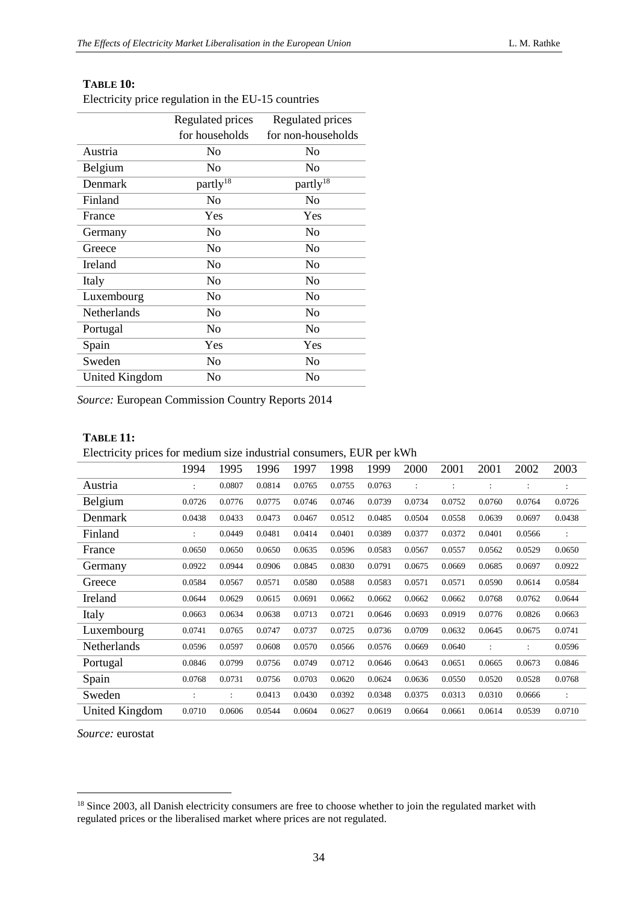#### **TABLE 10:**

Electricity price regulation in the EU-15 countries

|                | Regulated prices     | Regulated prices     |
|----------------|----------------------|----------------------|
|                | for households       | for non-households   |
| Austria        | No                   | No                   |
| Belgium        | No                   | No                   |
| Denmark        | partly <sup>18</sup> | partly <sup>18</sup> |
| Finland        | No                   | No                   |
| France         | Yes                  | Yes                  |
| Germany        | No                   | No                   |
| Greece         | No                   | No                   |
| Ireland        | N <sub>o</sub>       | N <sub>o</sub>       |
| Italy          | No                   | No                   |
| Luxembourg     | No                   | No                   |
| Netherlands    | No                   | No                   |
| Portugal       | No                   | No                   |
| Spain          | Yes                  | Yes                  |
| Sweden         | N <sub>0</sub>       | No                   |
| United Kingdom | No                   | No                   |

*Source:* European Commission Country Reports 2014

#### **TABLE 11:**

Electricity prices for medium size industrial consumers, EUR per kWh

|                | 1994   | 1995                 | 1996   | 1997   | 1998   | 1999   | 2000   | 2001   | 2001   | 2002                 | 2003                 |
|----------------|--------|----------------------|--------|--------|--------|--------|--------|--------|--------|----------------------|----------------------|
| Austria        |        | 0.0807               | 0.0814 | 0.0765 | 0.0755 | 0.0763 |        |        |        | $\ddot{\phantom{a}}$ |                      |
| Belgium        | 0.0726 | 0.0776               | 0.0775 | 0.0746 | 0.0746 | 0.0739 | 0.0734 | 0.0752 | 0.0760 | 0.0764               | 0.0726               |
| Denmark        | 0.0438 | 0.0433               | 0.0473 | 0.0467 | 0.0512 | 0.0485 | 0.0504 | 0.0558 | 0.0639 | 0.0697               | 0.0438               |
| Finland        |        | 0.0449               | 0.0481 | 0.0414 | 0.0401 | 0.0389 | 0.0377 | 0.0372 | 0.0401 | 0.0566               | :                    |
| France         | 0.0650 | 0.0650               | 0.0650 | 0.0635 | 0.0596 | 0.0583 | 0.0567 | 0.0557 | 0.0562 | 0.0529               | 0.0650               |
| Germany        | 0.0922 | 0.0944               | 0.0906 | 0.0845 | 0.0830 | 0.0791 | 0.0675 | 0.0669 | 0.0685 | 0.0697               | 0.0922               |
| Greece         | 0.0584 | 0.0567               | 0.0571 | 0.0580 | 0.0588 | 0.0583 | 0.0571 | 0.0571 | 0.0590 | 0.0614               | 0.0584               |
| Ireland        | 0.0644 | 0.0629               | 0.0615 | 0.0691 | 0.0662 | 0.0662 | 0.0662 | 0.0662 | 0.0768 | 0.0762               | 0.0644               |
| Italy          | 0.0663 | 0.0634               | 0.0638 | 0.0713 | 0.0721 | 0.0646 | 0.0693 | 0.0919 | 0.0776 | 0.0826               | 0.0663               |
| Luxembourg     | 0.0741 | 0.0765               | 0.0747 | 0.0737 | 0.0725 | 0.0736 | 0.0709 | 0.0632 | 0.0645 | 0.0675               | 0.0741               |
| Netherlands    | 0.0596 | 0.0597               | 0.0608 | 0.0570 | 0.0566 | 0.0576 | 0.0669 | 0.0640 |        | $\ddot{\phantom{a}}$ | 0.0596               |
| Portugal       | 0.0846 | 0.0799               | 0.0756 | 0.0749 | 0.0712 | 0.0646 | 0.0643 | 0.0651 | 0.0665 | 0.0673               | 0.0846               |
| Spain          | 0.0768 | 0.0731               | 0.0756 | 0.0703 | 0.0620 | 0.0624 | 0.0636 | 0.0550 | 0.0520 | 0.0528               | 0.0768               |
| Sweden         |        | $\ddot{\phantom{a}}$ | 0.0413 | 0.0430 | 0.0392 | 0.0348 | 0.0375 | 0.0313 | 0.0310 | 0.0666               | $\ddot{\phantom{a}}$ |
| United Kingdom | 0.0710 | 0.0606               | 0.0544 | 0.0604 | 0.0627 | 0.0619 | 0.0664 | 0.0661 | 0.0614 | 0.0539               | 0.0710               |

*Source:* eurostat

-

<sup>&</sup>lt;sup>18</sup> Since 2003, all Danish electricity consumers are free to choose whether to join the regulated market with regulated prices or the liberalised market where prices are not regulated.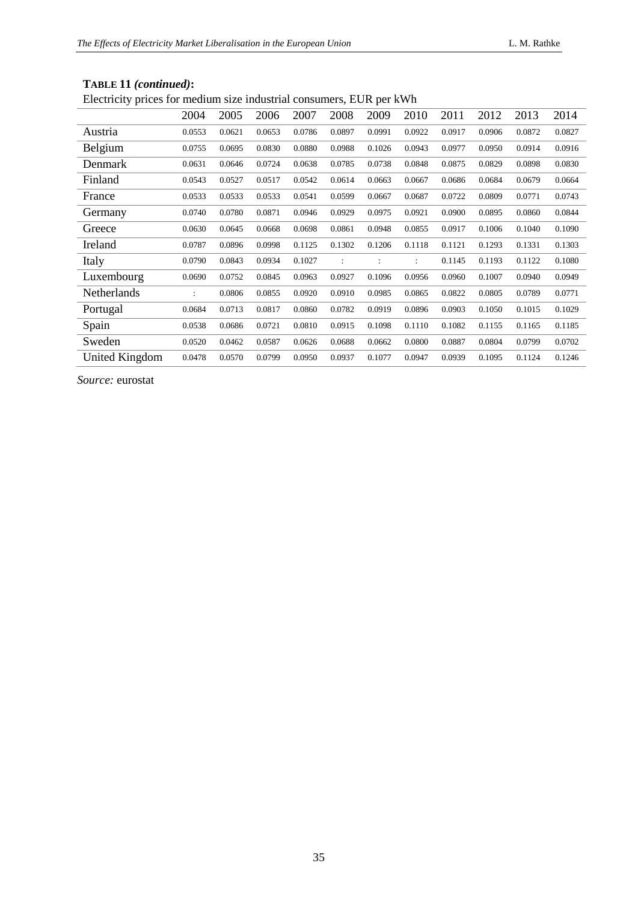| Livenien, priest<br>Tot moderant once measurial constants of E |                |        |        |        |        |        |                      |        |        |        |        |
|----------------------------------------------------------------|----------------|--------|--------|--------|--------|--------|----------------------|--------|--------|--------|--------|
|                                                                | 2004           | 2005   | 2006   | 2007   | 2008   | 2009   | 2010                 | 2011   | 2012   | 2013   | 2014   |
| Austria                                                        | 0.0553         | 0.0621 | 0.0653 | 0.0786 | 0.0897 | 0.0991 | 0.0922               | 0.0917 | 0.0906 | 0.0872 | 0.0827 |
| Belgium                                                        | 0.0755         | 0.0695 | 0.0830 | 0.0880 | 0.0988 | 0.1026 | 0.0943               | 0.0977 | 0.0950 | 0.0914 | 0.0916 |
| Denmark                                                        | 0.0631         | 0.0646 | 0.0724 | 0.0638 | 0.0785 | 0.0738 | 0.0848               | 0.0875 | 0.0829 | 0.0898 | 0.0830 |
| Finland                                                        | 0.0543         | 0.0527 | 0.0517 | 0.0542 | 0.0614 | 0.0663 | 0.0667               | 0.0686 | 0.0684 | 0.0679 | 0.0664 |
| France                                                         | 0.0533         | 0.0533 | 0.0533 | 0.0541 | 0.0599 | 0.0667 | 0.0687               | 0.0722 | 0.0809 | 0.0771 | 0.0743 |
| Germany                                                        | 0.0740         | 0.0780 | 0.0871 | 0.0946 | 0.0929 | 0.0975 | 0.0921               | 0.0900 | 0.0895 | 0.0860 | 0.0844 |
| Greece                                                         | 0.0630         | 0.0645 | 0.0668 | 0.0698 | 0.0861 | 0.0948 | 0.0855               | 0.0917 | 0.1006 | 0.1040 | 0.1090 |
| Ireland                                                        | 0.0787         | 0.0896 | 0.0998 | 0.1125 | 0.1302 | 0.1206 | 0.1118               | 0.1121 | 0.1293 | 0.1331 | 0.1303 |
| Italy                                                          | 0.0790         | 0.0843 | 0.0934 | 0.1027 |        |        | $\ddot{\phantom{a}}$ | 0.1145 | 0.1193 | 0.1122 | 0.1080 |
| Luxembourg                                                     | 0.0690         | 0.0752 | 0.0845 | 0.0963 | 0.0927 | 0.1096 | 0.0956               | 0.0960 | 0.1007 | 0.0940 | 0.0949 |
| Netherlands                                                    | $\ddot{\cdot}$ | 0.0806 | 0.0855 | 0.0920 | 0.0910 | 0.0985 | 0.0865               | 0.0822 | 0.0805 | 0.0789 | 0.0771 |
| Portugal                                                       | 0.0684         | 0.0713 | 0.0817 | 0.0860 | 0.0782 | 0.0919 | 0.0896               | 0.0903 | 0.1050 | 0.1015 | 0.1029 |
| Spain                                                          | 0.0538         | 0.0686 | 0.0721 | 0.0810 | 0.0915 | 0.1098 | 0.1110               | 0.1082 | 0.1155 | 0.1165 | 0.1185 |
| Sweden                                                         | 0.0520         | 0.0462 | 0.0587 | 0.0626 | 0.0688 | 0.0662 | 0.0800               | 0.0887 | 0.0804 | 0.0799 | 0.0702 |
| United Kingdom                                                 | 0.0478         | 0.0570 | 0.0799 | 0.0950 | 0.0937 | 0.1077 | 0.0947               | 0.0939 | 0.1095 | 0.1124 | 0.1246 |

#### **TABLE 11** *(continued)***:**

Electricity prices for medium size industrial consumers, EUR per kWh

*Source:* eurostat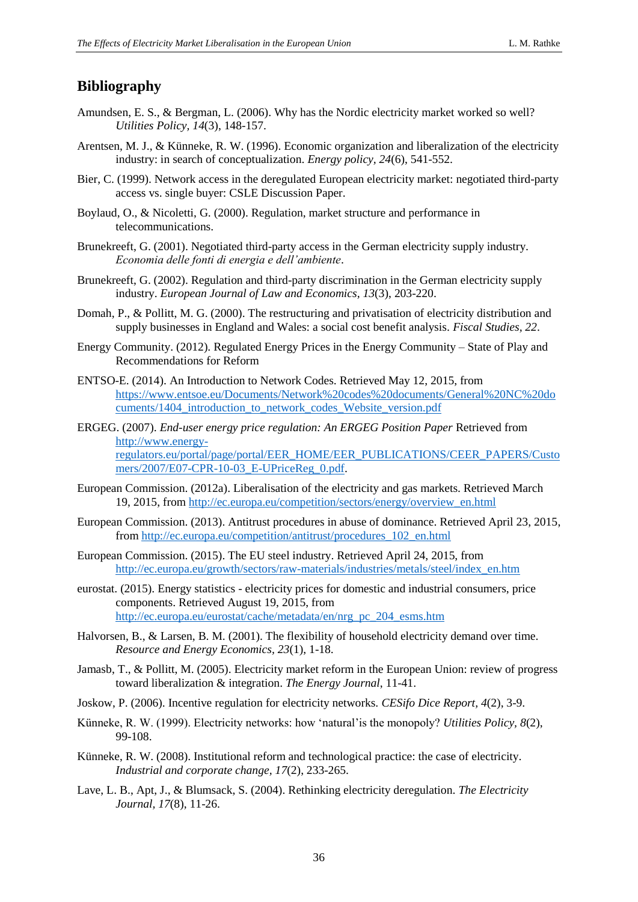## <span id="page-36-0"></span>**Bibliography**

- Amundsen, E. S., & Bergman, L. (2006). Why has the Nordic electricity market worked so well? *Utilities Policy, 14*(3), 148-157.
- Arentsen, M. J., & Künneke, R. W. (1996). Economic organization and liberalization of the electricity industry: in search of conceptualization. *Energy policy, 24*(6), 541-552.
- Bier, C. (1999). Network access in the deregulated European electricity market: negotiated third-party access vs. single buyer: CSLE Discussion Paper.
- Boylaud, O., & Nicoletti, G. (2000). Regulation, market structure and performance in telecommunications.
- Brunekreeft, G. (2001). Negotiated third-party access in the German electricity supply industry. *Economia delle fonti di energia e dell'ambiente*.
- Brunekreeft, G. (2002). Regulation and third-party discrimination in the German electricity supply industry. *European Journal of Law and Economics, 13*(3), 203-220.
- Domah, P., & Pollitt, M. G. (2000). The restructuring and privatisation of electricity distribution and supply businesses in England and Wales: a social cost benefit analysis. *Fiscal Studies, 22*.
- Energy Community. (2012). Regulated Energy Prices in the Energy Community State of Play and Recommendations for Reform
- ENTSO-E. (2014). An Introduction to Network Codes. Retrieved May 12, 2015, from [https://www.entsoe.eu/Documents/Network%20codes%20documents/General%20NC%20do](https://www.entsoe.eu/Documents/Network%20codes%20documents/General%20NC%20documents/1404_introduction_to_network_codes_Website_version.pdf) cuments/1404 introduction to network codes Website version.pdf
- ERGEG. (2007). *End-user energy price regulation: An ERGEG Position Paper* Retrieved from [http://www.energy](http://www.energy-regulators.eu/portal/page/portal/EER_HOME/EER_PUBLICATIONS/CEER_PAPERS/Customers/2007/E07-CPR-10-03_E-UPriceReg_0.pdf)[regulators.eu/portal/page/portal/EER\\_HOME/EER\\_PUBLICATIONS/CEER\\_PAPERS/Custo](http://www.energy-regulators.eu/portal/page/portal/EER_HOME/EER_PUBLICATIONS/CEER_PAPERS/Customers/2007/E07-CPR-10-03_E-UPriceReg_0.pdf) [mers/2007/E07-CPR-10-03\\_E-UPriceReg\\_0.pdf.](http://www.energy-regulators.eu/portal/page/portal/EER_HOME/EER_PUBLICATIONS/CEER_PAPERS/Customers/2007/E07-CPR-10-03_E-UPriceReg_0.pdf)
- European Commission. (2012a). Liberalisation of the electricity and gas markets. Retrieved March 19, 2015, from [http://ec.europa.eu/competition/sectors/energy/overview\\_en.html](http://ec.europa.eu/competition/sectors/energy/overview_en.html)
- European Commission. (2013). Antitrust procedures in abuse of dominance. Retrieved April 23, 2015, from [http://ec.europa.eu/competition/antitrust/procedures\\_102\\_en.html](http://ec.europa.eu/competition/antitrust/procedures_102_en.html)
- European Commission. (2015). The EU steel industry. Retrieved April 24, 2015, from [http://ec.europa.eu/growth/sectors/raw-materials/industries/metals/steel/index\\_en.htm](http://ec.europa.eu/growth/sectors/raw-materials/industries/metals/steel/index_en.htm)
- eurostat. (2015). Energy statistics electricity prices for domestic and industrial consumers, price components. Retrieved August 19, 2015, from [http://ec.europa.eu/eurostat/cache/metadata/en/nrg\\_pc\\_204\\_esms.htm](http://ec.europa.eu/eurostat/cache/metadata/en/nrg_pc_204_esms.htm)
- Halvorsen, B., & Larsen, B. M. (2001). The flexibility of household electricity demand over time. *Resource and Energy Economics, 23*(1), 1-18.
- Jamasb, T., & Pollitt, M. (2005). Electricity market reform in the European Union: review of progress toward liberalization & integration. *The Energy Journal*, 11-41.
- Joskow, P. (2006). Incentive regulation for electricity networks. *CESifo Dice Report, 4*(2), 3-9.
- Künneke, R. W. (1999). Electricity networks: how 'natural'is the monopoly? *Utilities Policy, 8*(2), 99-108.
- Künneke, R. W. (2008). Institutional reform and technological practice: the case of electricity. *Industrial and corporate change, 17*(2), 233-265.
- Lave, L. B., Apt, J., & Blumsack, S. (2004). Rethinking electricity deregulation. *The Electricity Journal, 17*(8), 11-26.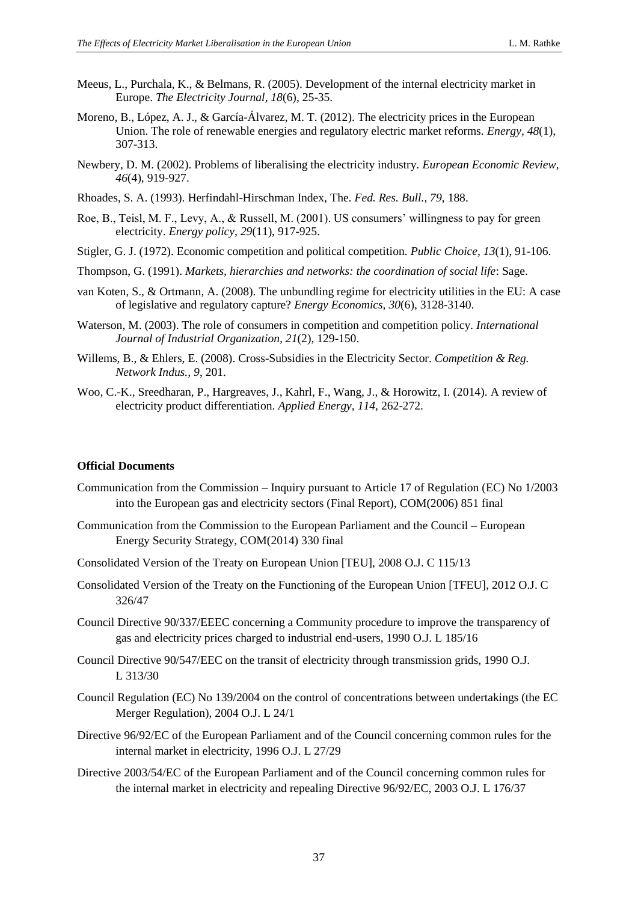- Meeus, L., Purchala, K., & Belmans, R. (2005). Development of the internal electricity market in Europe. *The Electricity Journal, 18*(6), 25-35.
- Moreno, B., López, A. J., & García-Álvarez, M. T. (2012). The electricity prices in the European Union. The role of renewable energies and regulatory electric market reforms. *Energy, 48*(1), 307-313.
- Newbery, D. M. (2002). Problems of liberalising the electricity industry. *European Economic Review, 46*(4), 919-927.
- Rhoades, S. A. (1993). Herfindahl-Hirschman Index, The. *Fed. Res. Bull., 79*, 188.
- Roe, B., Teisl, M. F., Levy, A., & Russell, M. (2001). US consumers' willingness to pay for green electricity. *Energy policy, 29*(11), 917-925.
- Stigler, G. J. (1972). Economic competition and political competition. *Public Choice, 13*(1), 91-106.
- Thompson, G. (1991). *Markets, hierarchies and networks: the coordination of social life*: Sage.
- van Koten, S., & Ortmann, A. (2008). The unbundling regime for electricity utilities in the EU: A case of legislative and regulatory capture? *Energy Economics, 30*(6), 3128-3140.
- Waterson, M. (2003). The role of consumers in competition and competition policy. *International Journal of Industrial Organization, 21*(2), 129-150.
- Willems, B., & Ehlers, E. (2008). Cross-Subsidies in the Electricity Sector. *Competition & Reg. Network Indus., 9*, 201.
- Woo, C.-K., Sreedharan, P., Hargreaves, J., Kahrl, F., Wang, J., & Horowitz, I. (2014). A review of electricity product differentiation. *Applied Energy, 114*, 262-272.

#### <span id="page-37-0"></span>**Official Documents**

- Communication from the Commission Inquiry pursuant to Article 17 of Regulation (EC) No 1/2003 into the European gas and electricity sectors (Final Report), COM(2006) 851 final
- Communication from the Commission to the European Parliament and the Council European Energy Security Strategy, COM(2014) 330 final
- Consolidated Version of the Treaty on European Union [TEU], 2008 O.J. C 115/13
- Consolidated Version of the Treaty on the Functioning of the European Union [TFEU], 2012 O.J. C 326/47
- Council Directive 90/337/EEEC concerning a Community procedure to improve the transparency of gas and electricity prices charged to industrial end-users, 1990 O.J. L 185/16
- Council Directive 90/547/EEC on the transit of electricity through transmission grids, 1990 O.J. L 313/30
- Council Regulation (EC) No 139/2004 on the control of concentrations between undertakings (the EC Merger Regulation), 2004 O.J. L 24/1
- Directive 96/92/EC of the European Parliament and of the Council concerning common rules for the internal market in electricity, 1996 O.J. L 27/29
- Directive 2003/54/EC of the European Parliament and of the Council concerning common rules for the internal market in electricity and repealing Directive 96/92/EC, 2003 O.J. L 176/37